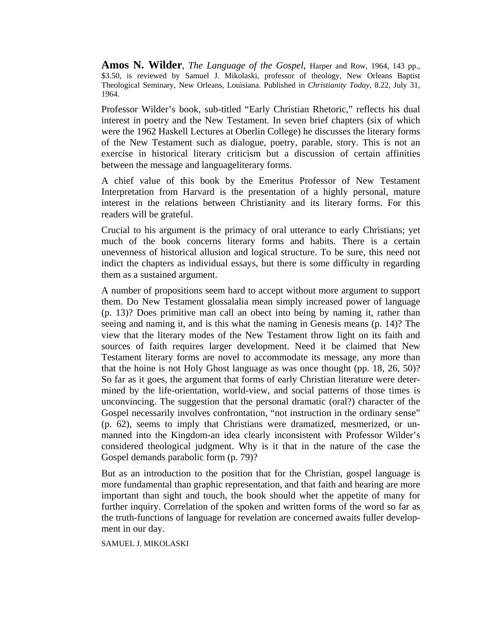**Amos N. Wilder**, *The Language of the Gospel*, Harper and Row, 1964, 143 pp., \$3.50, is reviewed by Samuel J. Mikolaski, professor of theology, New Orleans Baptist Theological Seminary, New Orleans, Louisiana. Published in *Christianity Today,* 8.22, July 31, 1964.

Professor Wilder's book, sub-titled "Early Christian Rhetoric," reflects his dual interest in poetry and the New Testament. In seven brief chapters (six of which were the 1962 Haskell Lectures at Oberlin College) he discusses the literary forms of the New Testament such as dialogue, poetry, parable, story. This is not an exercise in historical literary criticism but a discussion of certain affinities between the message and languageliterary forms.

A chief value of this book by the Emeritus Professor of New Testament Interpretation from Harvard is the presentation of a highly personal, mature interest in the relations between Christianity and its literary forms. For this readers will be grateful.

Crucial to his argument is the primacy of oral utterance to early Christians; yet much of the book concerns literary forms and habits. There is a certain unevenness of historical allusion and logical structure. To be sure, this need not indict the chapters as individual essays, but there is some difficulty in regarding them as a sustained argument.

A number of propositions seem hard to accept without more argument to support them. Do New Testament glossalalia mean simply increased power of language (p. 13)? Does primitive man call an obect into being by naming it, rather than seeing and naming it, and is this what the naming in Genesis means (p. 14)? The view that the literary modes of the New Testament throw light on its faith and sources of faith requires larger development. Need it be claimed that New Testament literary forms are novel to accommodate its message, any more than that the hoine is not Holy Ghost language as was once thought (pp. 18, 26, 50)? So far as it goes, the argument that forms of early Christian literature were determined by the life-orientation, world-view, and social patterns of those times is unconvincing. The suggestion that the personal dramatic (oral?) character of the Gospel necessarily involves confrontation, "not instruction in the ordinary sense" (p. 62), seems to imply that Christians were dramatized, mesmerized, or unmanned into the Kingdom-an idea clearly inconsistent with Professor Wilder's considered theological judgment. Why is it that in the nature of the case the Gospel demands parabolic form (p. 79)?

But as an introduction to the position that for the Christian, gospel language is more fundamental than graphic representation, and that faith and hearing are more important than sight and touch, the book should whet the appetite of many for further inquiry. Correlation of the spoken and written forms of the word so far as the truth-functions of language for revelation are concerned awaits fuller development in our day.

SAMUEL J. MIKOLASKI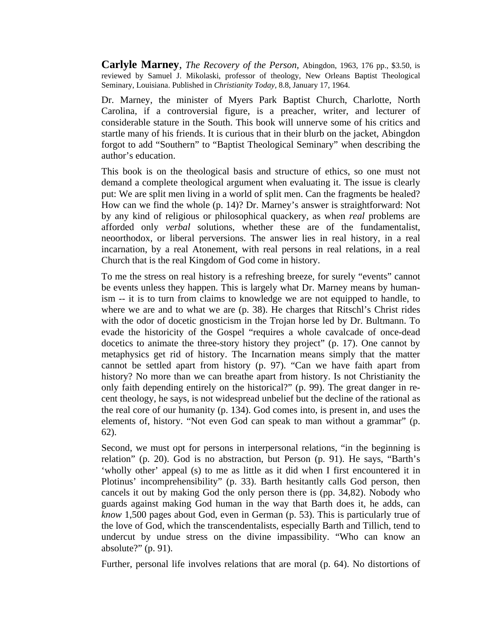**Carlyle Marney**, *The Recovery of the Person,* Abingdon, 1963, 176 pp., \$3.50, is reviewed by Samuel J. Mikolaski, professor of theology, New Orleans Baptist Theological Seminary, Louisiana. Published in *Christianity Today,* 8.8, January 17, 1964.

Dr. Marney, the minister of Myers Park Baptist Church, Charlotte, North Carolina, if a controversial figure, is a preacher, writer, and lecturer of considerable stature in the South. This book will unnerve some of his critics and startle many of his friends. It is curious that in their blurb on the jacket, Abingdon forgot to add "Southern" to "Baptist Theological Seminary" when describing the author's education.

This book is on the theological basis and structure of ethics, so one must not demand a complete theological argument when evaluating it. The issue is clearly put: We are split men living in a world of split men. Can the fragments be healed? How can we find the whole (p. 14)? Dr. Marney's answer is straightforward: Not by any kind of religious or philosophical quackery, as when *real* problems are afforded only *verbal* solutions, whether these are of the fundamentalist, neoorthodox, or liberal perversions. The answer lies in real history, in a real incarnation, by a real Atonement, with real persons in real relations, in a real Church that is the real Kingdom of God come in history.

To me the stress on real history is a refreshing breeze, for surely "events" cannot be events unless they happen. This is largely what Dr. Marney means by humanism -- it is to turn from claims to knowledge we are not equipped to handle, to where we are and to what we are (p. 38). He charges that Ritschl's Christ rides with the odor of docetic gnosticism in the Trojan horse led by Dr. Bultmann. To evade the historicity of the Gospel "requires a whole cavalcade of once-dead docetics to animate the three-story history they project" (p. 17). One cannot by metaphysics get rid of history. The Incarnation means simply that the matter cannot be settled apart from history (p. 97). "Can we have faith apart from history? No more than we can breathe apart from history. Is not Christianity the only faith depending entirely on the historical?" (p. 99). The great danger in recent theology, he says, is not widespread unbelief but the decline of the rational as the real core of our humanity (p. 134). God comes into, is present in, and uses the elements of, history. "Not even God can speak to man without a grammar" (p. 62).

Second, we must opt for persons in interpersonal relations, "in the beginning is relation" (p. 20). God is no abstraction, but Person (p. 91). He says, "Barth's 'wholly other' appeal (s) to me as little as it did when I first encountered it in Plotinus' incomprehensibility" (p. 33). Barth hesitantly calls God person, then cancels it out by making God the only person there is (pp. 34,82). Nobody who guards against making God human in the way that Barth does it, he adds, can *know* 1,500 pages about God, even in German (p. 53). This is particularly true of the love of God, which the transcendentalists, especially Barth and Tillich, tend to undercut by undue stress on the divine impassibility. "Who can know an absolute?" (p. 91).

Further, personal life involves relations that are moral (p. 64). No distortions of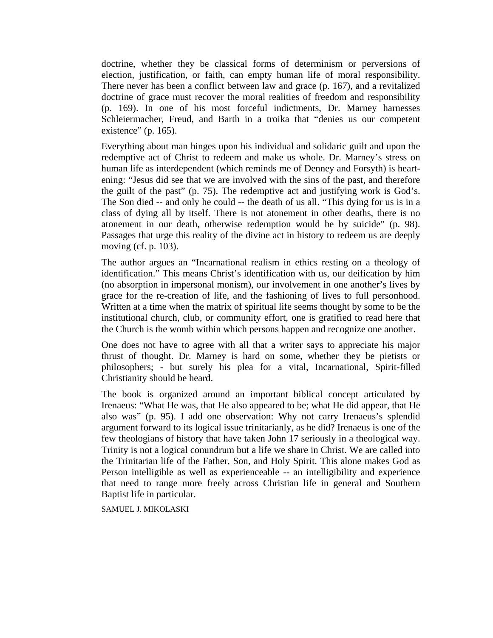doctrine, whether they be classical forms of determinism or perversions of election, justification, or faith, can empty human life of moral responsibility. There never has been a conflict between law and grace (p. 167), and a revitalized doctrine of grace must recover the moral realities of freedom and responsibility (p. 169). In one of his most forceful indictments, Dr. Marney harnesses Schleiermacher, Freud, and Barth in a troika that "denies us our competent existence" (p. 165).

Everything about man hinges upon his individual and solidaric guilt and upon the redemptive act of Christ to redeem and make us whole. Dr. Marney's stress on human life as interdependent (which reminds me of Denney and Forsyth) is heartening: "Jesus did see that we are involved with the sins of the past, and therefore the guilt of the past" (p. 75). The redemptive act and justifying work is God's. The Son died -- and only he could -- the death of us all. "This dying for us is in a class of dying all by itself. There is not atonement in other deaths, there is no atonement in our death, otherwise redemption would be by suicide" (p. 98). Passages that urge this reality of the divine act in history to redeem us are deeply moving (cf. p. 103).

The author argues an "Incarnational realism in ethics resting on a theology of identification." This means Christ's identification with us, our deification by him (no absorption in impersonal monism), our involvement in one another's lives by grace for the re-creation of life, and the fashioning of lives to full personhood. Written at a time when the matrix of spiritual life seems thought by some to be the institutional church, club, or community effort, one is gratified to read here that the Church is the womb within which persons happen and recognize one another.

One does not have to agree with all that a writer says to appreciate his major thrust of thought. Dr. Marney is hard on some, whether they be pietists or philosophers; - but surely his plea for a vital, Incarnational, Spirit-filled Christianity should be heard.

The book is organized around an important biblical concept articulated by Irenaeus: "What He was, that He also appeared to be; what He did appear, that He also was" (p. 95). I add one observation: Why not carry Irenaeus's splendid argument forward to its logical issue trinitarianly, as he did? Irenaeus is one of the few theologians of history that have taken John 17 seriously in a theological way. Trinity is not a logical conundrum but a life we share in Christ. We are called into the Trinitarian life of the Father, Son, and Holy Spirit. This alone makes God as Person intelligible as well as experienceable -- an intelligibility and experience that need to range more freely across Christian life in general and Southern Baptist life in particular.

SAMUEL J. MIKOLASKI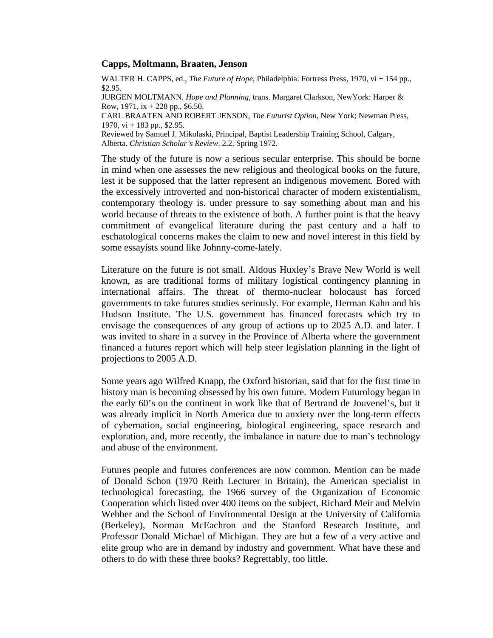### **Capps, Moltmann, Braaten, Jenson**

WALTER H. CAPPS, ed., *The Future of Hope*, Philadelphia: Fortress Press, 1970, vi + 154 pp., \$2.95.

JURGEN MOLTMANN, *Hope and Planning*, trans. Margaret Clarkson, NewYork: Harper & Row, 1971,  $ix + 228$  pp., \$6.50.

CARL BRAATEN AND ROBERT JENSON, *The Futurist Option*, New York; Newman Press, 1970,  $vi + 183$  pp., \$2.95.

Reviewed by Samuel J. Mikolaski, Principal, Baptist Leadership Training School, Calgary, Alberta. *Christian Scholar's Review,* 2.2, Spring 1972.

The study of the future is now a serious secular enterprise. This should be borne in mind when one assesses the new religious and theological books on the future, lest it be supposed that the latter represent an indigenous movement. Bored with the excessively introverted and non-historical character of modern existentialism, contemporary theology is. under pressure to say something about man and his world because of threats to the existence of both. A further point is that the heavy commitment of evangelical literature during the past century and a half to eschatological concerns makes the claim to new and novel interest in this field by some essayists sound like Johnny-come-lately.

Literature on the future is not small. Aldous Huxley's Brave New World is well known, as are traditional forms of military logistical contingency planning in international affairs. The threat of thermo-nuclear holocaust has forced governments to take futures studies seriously. For example, Herman Kahn and his Hudson Institute. The U.S. government has financed forecasts which try to envisage the consequences of any group of actions up to 2025 A.D. and later. I was invited to share in a survey in the Province of Alberta where the government financed a futures report which will help steer legislation planning in the light of projections to 2005 A.D.

Some years ago Wilfred Knapp, the Oxford historian, said that for the first time in history man is becoming obsessed by his own future. Modern Futurology began in the early 60's on the continent in work like that of Bertrand de Jouvenel's, but it was already implicit in North America due to anxiety over the long-term effects of cybernation, social engineering, biological engineering, space research and exploration, and, more recently, the imbalance in nature due to man's technology and abuse of the environment.

Futures people and futures conferences are now common. Mention can be made of Donald Schon (1970 Reith Lecturer in Britain), the American specialist in technological forecasting, the 1966 survey of the Organization of Economic Cooperation which listed over 400 items on the subject, Richard Meir and Melvin Webber and the School of Environmental Design at the University of California (Berkeley), Norman McEachron and the Stanford Research Institute, and Professor Donald Michael of Michigan. They are but a few of a very active and elite group who are in demand by industry and government. What have these and others to do with these three books? Regrettably, too little.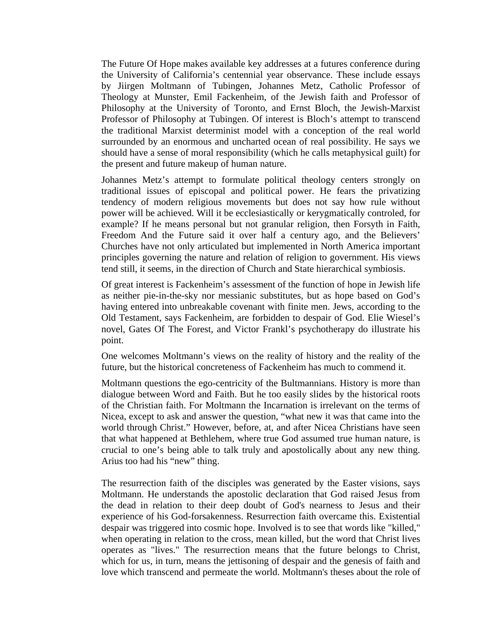The Future Of Hope makes available key addresses at a futures conference during the University of California's centennial year observance. These include essays by Jiirgen Moltmann of Tubingen, Johannes Metz, Catholic Professor of Theology at Munster, Emil Fackenheim, of the Jewish faith and Professor of Philosophy at the University of Toronto, and Ernst Bloch, the Jewish-Marxist Professor of Philosophy at Tubingen. Of interest is Bloch's attempt to transcend the traditional Marxist determinist model with a conception of the real world surrounded by an enormous and uncharted ocean of real possibility. He says we should have a sense of moral responsibility (which he calls metaphysical guilt) for the present and future makeup of human nature.

Johannes Metz's attempt to formulate political theology centers strongly on traditional issues of episcopal and political power. He fears the privatizing tendency of modern religious movements but does not say how rule without power will be achieved. Will it be ecclesiastically or kerygmatically controled, for example? If he means personal but not granular religion, then Forsyth in Faith, Freedom And the Future said it over half a century ago, and the Believers' Churches have not only articulated but implemented in North America important principles governing the nature and relation of religion to government. His views tend still, it seems, in the direction of Church and State hierarchical symbiosis.

Of great interest is Fackenheim's assessment of the function of hope in Jewish life as neither pie-in-the-sky nor messianic substitutes, but as hope based on God's having entered into unbreakable covenant with finite men. Jews, according to the Old Testament, says Fackenheim, are forbidden to despair of God. Elie Wiesel's novel, Gates Of The Forest, and Victor Frankl's psychotherapy do illustrate his point.

One welcomes Moltmann's views on the reality of history and the reality of the future, but the historical concreteness of Fackenheim has much to commend it.

Moltmann questions the ego-centricity of the Bultmannians. History is more than dialogue between Word and Faith. But he too easily slides by the historical roots of the Christian faith. For Moltmann the Incarnation is irrelevant on the terms of Nicea, except to ask and answer the question, "what new it was that came into the world through Christ." However, before, at, and after Nicea Christians have seen that what happened at Bethlehem, where true God assumed true human nature, is crucial to one's being able to talk truly and apostolically about any new thing. Arius too had his "new" thing.

The resurrection faith of the disciples was generated by the Easter visions, says Moltmann. He understands the apostolic declaration that God raised Jesus from the dead in relation to their deep doubt of God's nearness to Jesus and their experience of his God-forsakenness. Resurrection faith overcame this. Existential despair was triggered into cosmic hope. Involved is to see that words like "killed," when operating in relation to the cross, mean killed, but the word that Christ lives operates as "lives." The resurrection means that the future belongs to Christ, which for us, in turn, means the jettisoning of despair and the genesis of faith and love which transcend and permeate the world. Moltmann's theses about the role of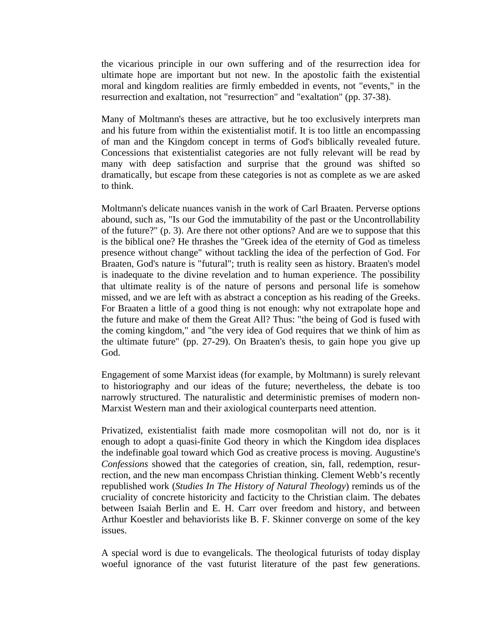the vicarious principle in our own suffering and of the resurrection idea for ultimate hope are important but not new. In the apostolic faith the existential moral and kingdom realities are firmly embedded in events, not "events," in the resurrection and exaltation, not "resurrection" and "exaltation" (pp. 37-38).

Many of Moltmann's theses are attractive, but he too exclusively interprets man and his future from within the existentialist motif. It is too little an encompassing of man and the Kingdom concept in terms of God's biblically revealed future. Concessions that existentialist categories are not fully relevant will be read by many with deep satisfaction and surprise that the ground was shifted so dramatically, but escape from these categories is not as complete as we are asked to think.

Moltmann's delicate nuances vanish in the work of Carl Braaten. Perverse options abound, such as, "Is our God the immutability of the past or the Uncontrollability of the future?" (p. 3). Are there not other options? And are we to suppose that this is the biblical one? He thrashes the "Greek idea of the eternity of God as timeless presence without change" without tackling the idea of the perfection of God. For Braaten, God's nature is "futural"; truth is reality seen as history. Braaten's model is inadequate to the divine revelation and to human experience. The possibility that ultimate reality is of the nature of persons and personal life is somehow missed, and we are left with as abstract a conception as his reading of the Greeks. For Braaten a little of a good thing is not enough: why not extrapolate hope and the future and make of them the Great All? Thus: "the being of God is fused with the coming kingdom," and "the very idea of God requires that we think of him as the ultimate future" (pp. 27-29). On Braaten's thesis, to gain hope you give up God.

Engagement of some Marxist ideas (for example, by Moltmann) is surely relevant to historiography and our ideas of the future; nevertheless, the debate is too narrowly structured. The naturalistic and deterministic premises of modern non-Marxist Western man and their axiological counterparts need attention.

Privatized, existentialist faith made more cosmopolitan will not do, nor is it enough to adopt a quasi-finite God theory in which the Kingdom idea displaces the indefinable goal toward which God as creative process is moving. Augustine's *Confessions* showed that the categories of creation, sin, fall, redemption, resurrection, and the new man encompass Christian thinking. Clement Webb's recently republished work (*Studies In The History of Natural Theology*) reminds us of the cruciality of concrete historicity and facticity to the Christian claim. The debates between Isaiah Berlin and E. H. Carr over freedom and history, and between Arthur Koestler and behaviorists like B. F. Skinner converge on some of the key issues.

A special word is due to evangelicals. The theological futurists of today display woeful ignorance of the vast futurist literature of the past few generations.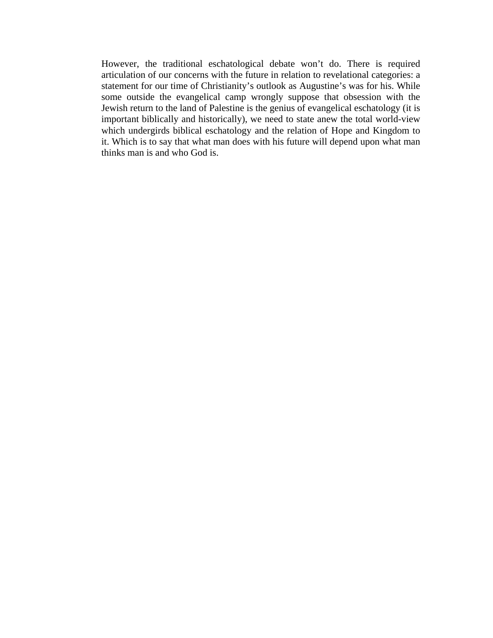However, the traditional eschatological debate won't do. There is required articulation of our concerns with the future in relation to revelational categories: a statement for our time of Christianity's outlook as Augustine's was for his. While some outside the evangelical camp wrongly suppose that obsession with the Jewish return to the land of Palestine is the genius of evangelical eschatology (it is important biblically and historically), we need to state anew the total world-view which undergirds biblical eschatology and the relation of Hope and Kingdom to it. Which is to say that what man does with his future will depend upon what man thinks man is and who God is.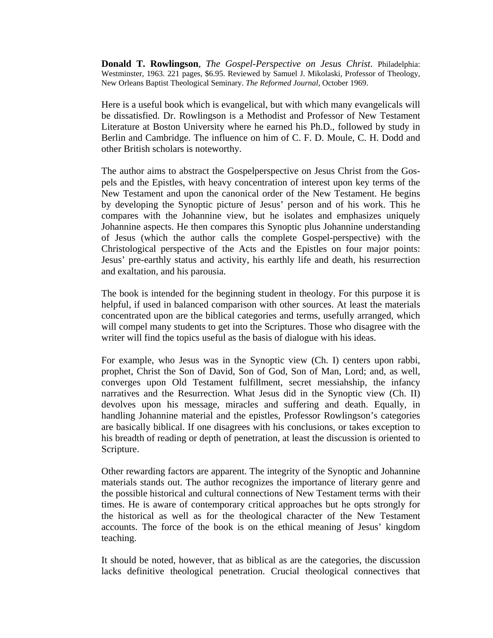**Donald T. Rowlingson**, *The Gospel-Perspective on Jesus Christ*. Philadelphia: Westminster, 1963. 221 pages, \$6.95. Reviewed by Samuel J. Mikolaski, Professor of Theology, New Orleans Baptist Theological Seminary. *The Reformed Journal,* October 1969.

Here is a useful book which is evangelical, but with which many evangelicals will be dissatisfied. Dr. Rowlingson is a Methodist and Professor of New Testament Literature at Boston University where he earned his Ph.D., followed by study in Berlin and Cambridge. The influence on him of C. F. D. Moule, C. H. Dodd and other British scholars is noteworthy.

The author aims to abstract the Gospelperspective on Jesus Christ from the Gospels and the Epistles, with heavy concentration of interest upon key terms of the New Testament and upon the canonical order of the New Testament. He begins by developing the Synoptic picture of Jesus' person and of his work. This he compares with the Johannine view, but he isolates and emphasizes uniquely Johannine aspects. He then compares this Synoptic plus Johannine understanding of Jesus (which the author calls the complete Gospel-perspective) with the Christological perspective of the Acts and the Epistles on four major points: Jesus' pre-earthly status and activity, his earthly life and death, his resurrection and exaltation, and his parousia.

The book is intended for the beginning student in theology. For this purpose it is helpful, if used in balanced comparison with other sources. At least the materials concentrated upon are the biblical categories and terms, usefully arranged, which will compel many students to get into the Scriptures. Those who disagree with the writer will find the topics useful as the basis of dialogue with his ideas.

For example, who Jesus was in the Synoptic view (Ch. I) centers upon rabbi, prophet, Christ the Son of David, Son of God, Son of Man, Lord; and, as well, converges upon Old Testament fulfillment, secret messiahship, the infancy narratives and the Resurrection. What Jesus did in the Synoptic view (Ch. II) devolves upon his message, miracles and suffering and death. Equally, in handling Johannine material and the epistles, Professor Rowlingson's categories are basically biblical. If one disagrees with his conclusions, or takes exception to his breadth of reading or depth of penetration, at least the discussion is oriented to Scripture.

Other rewarding factors are apparent. The integrity of the Synoptic and Johannine materials stands out. The author recognizes the importance of literary genre and the possible historical and cultural connections of New Testament terms with their times. He is aware of contemporary critical approaches but he opts strongly for the historical as well as for the theological character of the New Testament accounts. The force of the book is on the ethical meaning of Jesus' kingdom teaching.

It should be noted, however, that as biblical as are the categories, the discussion lacks definitive theological penetration. Crucial theological connectives that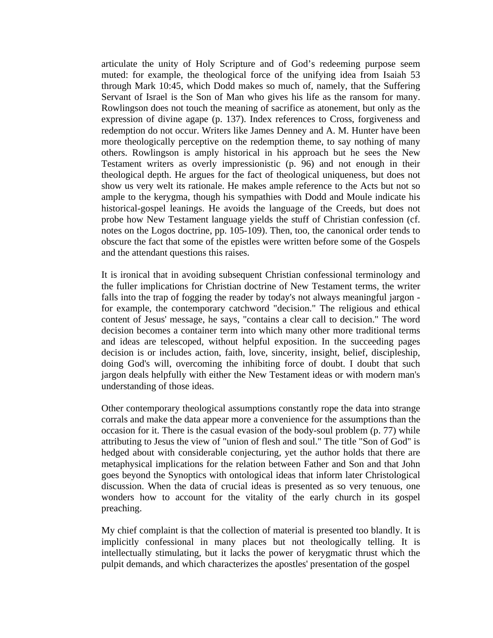articulate the unity of Holy Scripture and of God's redeeming purpose seem muted: for example, the theological force of the unifying idea from Isaiah 53 through Mark 10:45, which Dodd makes so much of, namely, that the Suffering Servant of Israel is the Son of Man who gives his life as the ransom for many. Rowlingson does not touch the meaning of sacrifice as atonement, but only as the expression of divine agape (p. 137). Index references to Cross, forgiveness and redemption do not occur. Writers like James Denney and A. M. Hunter have been more theologically perceptive on the redemption theme, to say nothing of many others. Rowlingson is amply historical in his approach but he sees the New Testament writers as overly impressionistic (p. 96) and not enough in their theological depth. He argues for the fact of theological uniqueness, but does not show us very welt its rationale. He makes ample reference to the Acts but not so ample to the kerygma, though his sympathies with Dodd and Moule indicate his historical-gospel leanings. He avoids the language of the Creeds, but does not probe how New Testament language yields the stuff of Christian confession (cf. notes on the Logos doctrine, pp. 105-109). Then, too, the canonical order tends to obscure the fact that some of the epistles were written before some of the Gospels and the attendant questions this raises.

It is ironical that in avoiding subsequent Christian confessional terminology and the fuller implications for Christian doctrine of New Testament terms, the writer falls into the trap of fogging the reader by today's not always meaningful jargon for example, the contemporary catchword "decision." The religious and ethical content of Jesus' message, he says, "contains a clear call to decision." The word decision becomes a container term into which many other more traditional terms and ideas are telescoped, without helpful exposition. In the succeeding pages decision is or includes action, faith, love, sincerity, insight, belief, discipleship, doing God's will, overcoming the inhibiting force of doubt. I doubt that such jargon deals helpfully with either the New Testament ideas or with modern man's understanding of those ideas.

Other contemporary theological assumptions constantly rope the data into strange corrals and make the data appear more a convenience for the assumptions than the occasion for it. There is the casual evasion of the body-soul problem (p. 77) while attributing to Jesus the view of "union of flesh and soul." The title "Son of God" is hedged about with considerable conjecturing, yet the author holds that there are metaphysical implications for the relation between Father and Son and that John goes beyond the Synoptics with ontological ideas that inform later Christological discussion. When the data of crucial ideas is presented as so very tenuous, one wonders how to account for the vitality of the early church in its gospel preaching.

My chief complaint is that the collection of material is presented too blandly. It is implicitly confessional in many places but not theologically telling. It is intellectually stimulating, but it lacks the power of kerygmatic thrust which the pulpit demands, and which characterizes the apostles' presentation of the gospel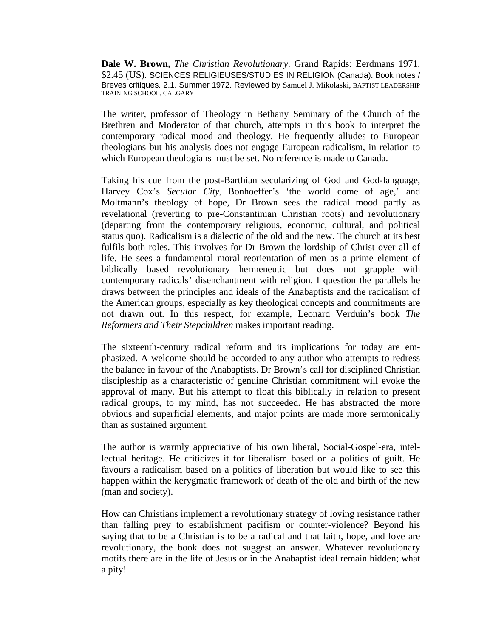**Dale W. Brown,** *The Christian Revolutionary*. Grand Rapids: Eerdmans 1971. \$2.45 (US). SCIENCES RELIGIEUSES/STUDIES IN RELIGION (Canada). Book notes / Breves critiques. 2.1. Summer 1972. Reviewed by Samuel J. Mikolaski, BAPTIST LEADERSHIP TRAINING SCHOOL, CALGARY

The writer, professor of Theology in Bethany Seminary of the Church of the Brethren and Moderator of that church, attempts in this book to interpret the contemporary radical mood and theology. He frequently alludes to European theologians but his analysis does not engage European radicalism, in relation to which European theologians must be set. No reference is made to Canada.

Taking his cue from the post-Barthian secularizing of God and God-language, Harvey Cox's *Secular City,* Bonhoeffer's 'the world come of age,' and Moltmann's theology of hope, Dr Brown sees the radical mood partly as revelational (reverting to pre-Constantinian Christian roots) and revolutionary (departing from the contemporary religious, economic, cultural, and political status quo). Radicalism is a dialectic of the old and the new. The church at its best fulfils both roles. This involves for Dr Brown the lordship of Christ over all of life. He sees a fundamental moral reorientation of men as a prime element of biblically based revolutionary hermeneutic but does not grapple with contemporary radicals' disenchantment with religion. I question the parallels he draws between the principles and ideals of the Anabaptists and the radicalism of the American groups, especially as key theological concepts and commitments are not drawn out. In this respect, for example, Leonard Verduin's book *The Reformers and Their Stepchildren* makes important reading.

The sixteenth-century radical reform and its implications for today are emphasized. A welcome should be accorded to any author who attempts to redress the balance in favour of the Anabaptists. Dr Brown's call for disciplined Christian discipleship as a characteristic of genuine Christian commitment will evoke the approval of many. But his attempt to float this biblically in relation to present radical groups, to my mind, has not succeeded. He has abstracted the more obvious and superficial elements, and major points are made more sermonically than as sustained argument.

The author is warmly appreciative of his own liberal, Social-Gospel-era, intellectual heritage. He criticizes it for liberalism based on a politics of guilt. He favours a radicalism based on a politics of liberation but would like to see this happen within the kerygmatic framework of death of the old and birth of the new (man and society).

How can Christians implement a revolutionary strategy of loving resistance rather than falling prey to establishment pacifism or counter-violence? Beyond his saying that to be a Christian is to be a radical and that faith, hope, and love are revolutionary, the book does not suggest an answer. Whatever revolutionary motifs there are in the life of Jesus or in the Anabaptist ideal remain hidden; what a pity!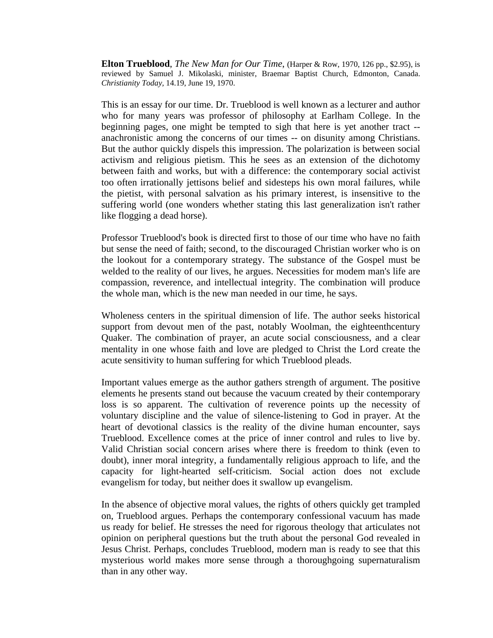**Elton Trueblood**, *The New Man for Our Time*, (Harper & Row, 1970, 126 pp., \$2.95), is reviewed by Samuel J. Mikolaski, minister, Braemar Baptist Church, Edmonton, Canada. *Christianity Today,* 14.19, June 19, 1970.

This is an essay for our time. Dr. Trueblood is well known as a lecturer and author who for many years was professor of philosophy at Earlham College. In the beginning pages, one might be tempted to sigh that here is yet another tract - anachronistic among the concerns of our times -- on disunity among Christians. But the author quickly dispels this impression. The polarization is between social activism and religious pietism. This he sees as an extension of the dichotomy between faith and works, but with a difference: the contemporary social activist too often irrationally jettisons belief and sidesteps his own moral failures, while the pietist, with personal salvation as his primary interest, is insensitive to the suffering world (one wonders whether stating this last generalization isn't rather like flogging a dead horse).

Professor Trueblood's book is directed first to those of our time who have no faith but sense the need of faith; second, to the discouraged Christian worker who is on the lookout for a contemporary strategy. The substance of the Gospel must be welded to the reality of our lives, he argues. Necessities for modem man's life are compassion, reverence, and intellectual integrity. The combination will produce the whole man, which is the new man needed in our time, he says.

Wholeness centers in the spiritual dimension of life. The author seeks historical support from devout men of the past, notably Woolman, the eighteenthcentury Quaker. The combination of prayer, an acute social consciousness, and a clear mentality in one whose faith and love are pledged to Christ the Lord create the acute sensitivity to human suffering for which Trueblood pleads.

Important values emerge as the author gathers strength of argument. The positive elements he presents stand out because the vacuum created by their contemporary loss is so apparent. The cultivation of reverence points up the necessity of voluntary discipline and the value of silence-listening to God in prayer. At the heart of devotional classics is the reality of the divine human encounter, says Trueblood. Excellence comes at the price of inner control and rules to live by. Valid Christian social concern arises where there is freedom to think (even to doubt), inner moral integrity, a fundamentally religious approach to life, and the capacity for light-hearted self-criticism. Social action does not exclude evangelism for today, but neither does it swallow up evangelism.

In the absence of objective moral values, the rights of others quickly get trampled on, Trueblood argues. Perhaps the contemporary confessional vacuum has made us ready for belief. He stresses the need for rigorous theology that articulates not opinion on peripheral questions but the truth about the personal God revealed in Jesus Christ. Perhaps, concludes Trueblood, modern man is ready to see that this mysterious world makes more sense through a thoroughgoing supernaturalism than in any other way.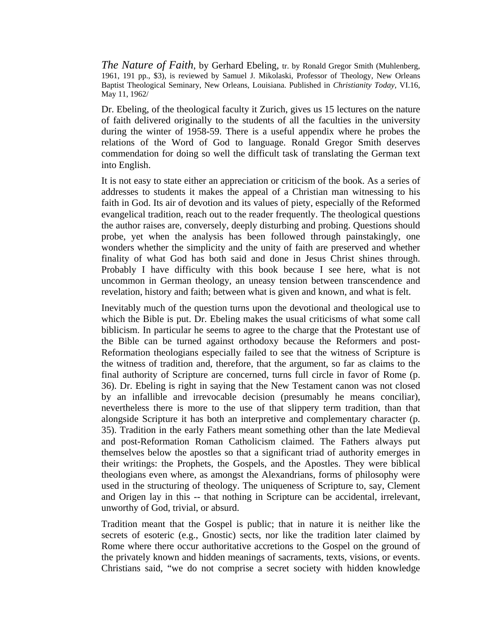*The Nature of Faith*, by Gerhard Ebeling, tr. by Ronald Gregor Smith (Muhlenberg, 1961, 191 pp., \$3), is reviewed by Samuel J. Mikolaski, Professor of Theology, New Orleans Baptist Theological Seminary, New Orleans, Louisiana. Published in *Christianity Today,* VI.16, May 11, 1962/

Dr. Ebeling, of the theological faculty it Zurich, gives us 15 lectures on the nature of faith delivered originally to the students of all the faculties in the university during the winter of 1958-59. There is a useful appendix where he probes the relations of the Word of God to language. Ronald Gregor Smith deserves commendation for doing so well the difficult task of translating the German text into English.

It is not easy to state either an appreciation or criticism of the book. As a series of addresses to students it makes the appeal of a Christian man witnessing to his faith in God. Its air of devotion and its values of piety, especially of the Reformed evangelical tradition, reach out to the reader frequently. The theological questions the author raises are, conversely, deeply disturbing and probing. Questions should probe, yet when the analysis has been followed through painstakingly, one wonders whether the simplicity and the unity of faith are preserved and whether finality of what God has both said and done in Jesus Christ shines through. Probably I have difficulty with this book because I see here, what is not uncommon in German theology, an uneasy tension between transcendence and revelation, history and faith; between what is given and known, and what is felt.

Inevitably much of the question turns upon the devotional and theological use to which the Bible is put. Dr. Ebeling makes the usual criticisms of what some call biblicism. In particular he seems to agree to the charge that the Protestant use of the Bible can be turned against orthodoxy because the Reformers and post-Reformation theologians especially failed to see that the witness of Scripture is the witness of tradition and, therefore, that the argument, so far as claims to the final authority of Scripture are concerned, turns full circle in favor of Rome (p. 36). Dr. Ebeling is right in saying that the New Testament canon was not closed by an infallible and irrevocable decision (presumably he means conciliar), nevertheless there is more to the use of that slippery term tradition, than that alongside Scripture it has both an interpretive and complementary character (p. 35). Tradition in the early Fathers meant something other than the late Medieval and post-Reformation Roman Catholicism claimed. The Fathers always put themselves below the apostles so that a significant triad of authority emerges in their writings: the Prophets, the Gospels, and the Apostles. They were biblical theologians even where, as amongst the Alexandrians, forms of philosophy were used in the structuring of theology. The uniqueness of Scripture to, say, Clement and Origen lay in this -- that nothing in Scripture can be accidental, irrelevant, unworthy of God, trivial, or absurd.

Tradition meant that the Gospel is public; that in nature it is neither like the secrets of esoteric (e.g., Gnostic) sects, nor like the tradition later claimed by Rome where there occur authoritative accretions to the Gospel on the ground of the privately known and hidden meanings of sacraments, texts, visions, or events. Christians said, "we do not comprise a secret society with hidden knowledge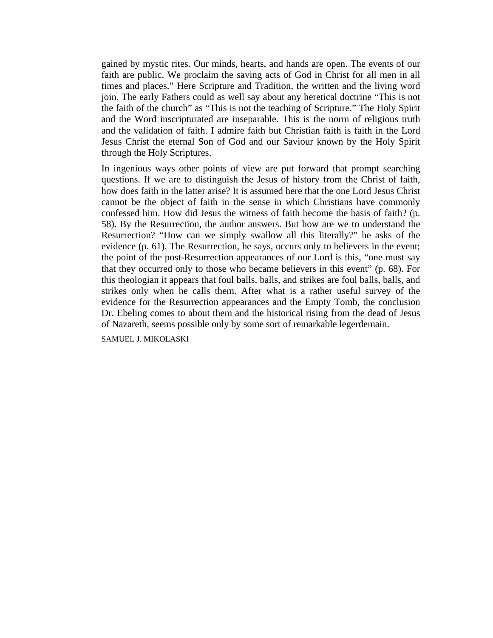gained by mystic rites. Our minds, hearts, and hands are open. The events of our faith are public. We proclaim the saving acts of God in Christ for all men in all times and places." Here Scripture and Tradition, the written and the living word join. The early Fathers could as well say about any heretical doctrine "This is not the faith of the church" as "This is not the teaching of Scripture." The Holy Spirit and the Word inscripturated are inseparable. This is the norm of religious truth and the validation of faith. I admire faith but Christian faith is faith in the Lord Jesus Christ the eternal Son of God and our Saviour known by the Holy Spirit through the Holy Scriptures.

In ingenious ways other points of view are put forward that prompt searching questions. If we are to distinguish the Jesus of history from the Christ of faith, how does faith in the latter arise? It is assumed here that the one Lord Jesus Christ cannot be the object of faith in the sense in which Christians have commonly confessed him. How did Jesus the witness of faith become the basis of faith? (p. 58). By the Resurrection, the author answers. But how are we to understand the Resurrection? "How can we simply swallow all this literally?" he asks of the evidence (p. 61). The Resurrection, he says, occurs only to believers in the event; the point of the post-Resurrection appearances of our Lord is this, "one must say that they occurred only to those who became believers in this event" (p. 68). For this theologian it appears that foul balls, balls, and strikes are foul balls, balls, and strikes only when he calls them. After what is a rather useful survey of the evidence for the Resurrection appearances and the Empty Tomb, the conclusion Dr. Ebeling comes to about them and the historical rising from the dead of Jesus of Nazareth, seems possible only by some sort of remarkable legerdemain.

SAMUEL J. MIKOLASKI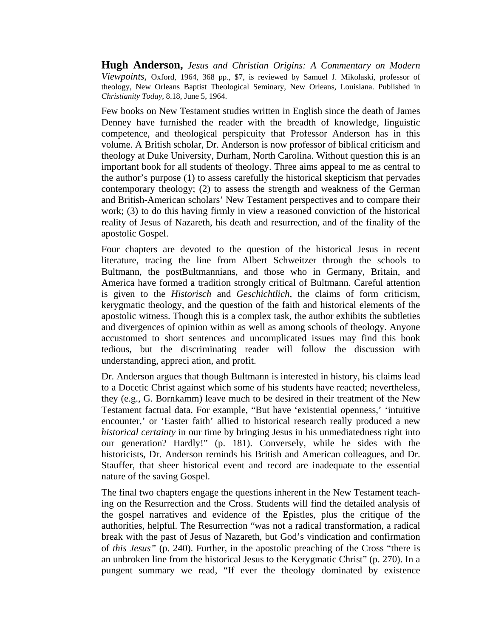**Hugh Anderson,** *Jesus and Christian Origins: A Commentary on Modern Viewpoints,* Oxford, 1964, 368 pp., \$7, is reviewed by Samuel J. Mikolaski, professor of theology, New Orleans Baptist Theological Seminary, New Orleans, Louisiana. Published in *Christianity Today,* 8.18, June 5, 1964.

Few books on New Testament studies written in English since the death of James Denney have furnished the reader with the breadth of knowledge, linguistic competence, and theological perspicuity that Professor Anderson has in this volume. A British scholar, Dr. Anderson is now professor of biblical criticism and theology at Duke University, Durham, North Carolina. Without question this is an important book for all students of theology. Three aims appeal to me as central to the author's purpose (1) to assess carefully the historical skepticism that pervades contemporary theology; (2) to assess the strength and weakness of the German and British-American scholars' New Testament perspectives and to compare their work; (3) to do this having firmly in view a reasoned conviction of the historical reality of Jesus of Nazareth, his death and resurrection, and of the finality of the apostolic Gospel.

Four chapters are devoted to the question of the historical Jesus in recent literature, tracing the line from Albert Schweitzer through the schools to Bultmann, the postBultmannians, and those who in Germany, Britain, and America have formed a tradition strongly critical of Bultmann. Careful attention is given to the *Historisch* and *Geschichtlich,* the claims of form criticism, kerygmatic theology, and the question of the faith and historical elements of the apostolic witness. Though this is a complex task, the author exhibits the subtleties and divergences of opinion within as well as among schools of theology. Anyone accustomed to short sentences and uncomplicated issues may find this book tedious, but the discriminating reader will follow the discussion with understanding, appreci ation, and profit.

Dr. Anderson argues that though Bultmann is interested in history, his claims lead to a Docetic Christ against which some of his students have reacted; nevertheless, they (e.g., G. Bornkamm) leave much to be desired in their treatment of the New Testament factual data. For example, "But have 'existential openness,' 'intuitive encounter,' or 'Easter faith' allied to historical research really produced a new *historical certainty* in our time by bringing Jesus in his unmediatedness right into our generation? Hardly!" (p. 181). Conversely, while he sides with the historicists, Dr. Anderson reminds his British and American colleagues, and Dr. Stauffer, that sheer historical event and record are inadequate to the essential nature of the saving Gospel.

The final two chapters engage the questions inherent in the New Testament teaching on the Resurrection and the Cross. Students will find the detailed analysis of the gospel narratives and evidence of the Epistles, plus the critique of the authorities, helpful. The Resurrection "was not a radical transformation, a radical break with the past of Jesus of Nazareth, but God's vindication and confirmation of *this Jesus"* (p. 240). Further, in the apostolic preaching of the Cross "there is an unbroken line from the historical Jesus to the Kerygmatic Christ" (p. 270). In a pungent summary we read, "If ever the theology dominated by existence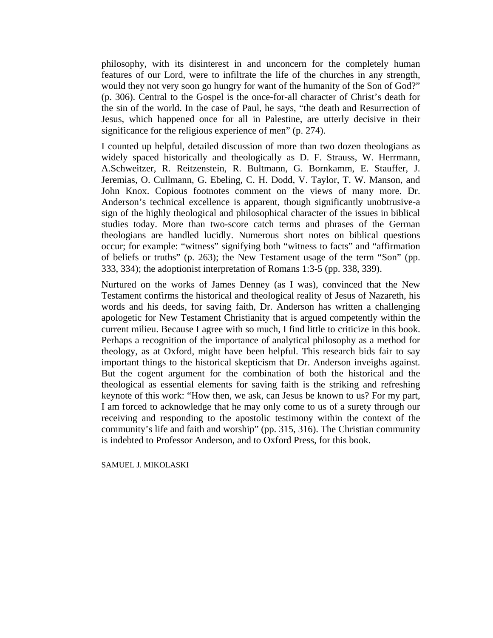philosophy, with its disinterest in and unconcern for the completely human features of our Lord, were to infiltrate the life of the churches in any strength, would they not very soon go hungry for want of the humanity of the Son of God?" (p. 306). Central to the Gospel is the once-for-all character of Christ's death for the sin of the world. In the case of Paul, he says, "the death and Resurrection of Jesus, which happened once for all in Palestine, are utterly decisive in their significance for the religious experience of men" (p. 274).

I counted up helpful, detailed discussion of more than two dozen theologians as widely spaced historically and theologically as D. F. Strauss, W. Herrmann, A.Schweitzer, R. Reitzenstein, R. Bultmann, G. Bornkamm, E. Stauffer, J. Jeremias, O. Cullmann, G. Ebeling, C. H. Dodd, V. Taylor, T. W. Manson, and John Knox. Copious footnotes comment on the views of many more. Dr. Anderson's technical excellence is apparent, though significantly unobtrusive-a sign of the highly theological and philosophical character of the issues in biblical studies today. More than two-score catch terms and phrases of the German theologians are handled lucidly. Numerous short notes on biblical questions occur; for example: "witness" signifying both "witness to facts" and "affirmation of beliefs or truths" (p. 263); the New Testament usage of the term "Son" (pp. 333, 334); the adoptionist interpretation of Romans 1:3-5 (pp. 338, 339).

Nurtured on the works of James Denney (as I was), convinced that the New Testament confirms the historical and theological reality of Jesus of Nazareth, his words and his deeds, for saving faith, Dr. Anderson has written a challenging apologetic for New Testament Christianity that is argued competently within the current milieu. Because I agree with so much, I find little to criticize in this book. Perhaps a recognition of the importance of analytical philosophy as a method for theology, as at Oxford, might have been helpful. This research bids fair to say important things to the historical skepticism that Dr. Anderson inveighs against. But the cogent argument for the combination of both the historical and the theological as essential elements for saving faith is the striking and refreshing keynote of this work: "How then, we ask, can Jesus be known to us? For my part, I am forced to acknowledge that he may only come to us of a surety through our receiving and responding to the apostolic testimony within the context of the community's life and faith and worship" (pp. 315, 316). The Christian community is indebted to Professor Anderson, and to Oxford Press, for this book.

SAMUEL J. MIKOLASKI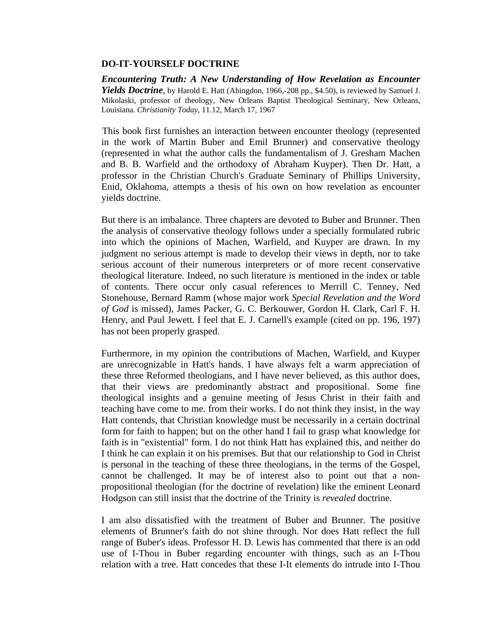### **DO-IT-YOURSELF DOCTRINE**

*Encountering Truth: A New Understanding of How Revelation as Encounter Yields Doctrine,* by Harold E. Hatt (Abingdon, 1966,-208 pp., \$4.50), is reviewed by Samuel J. Mikolaski, professor of theology, New Orleans Baptist Theological Seminary, New Orleans, Louisiana. *Christianity Today,* 11.12, March 17, 1967

This book first furnishes an interaction between encounter theology (represented in the work of Martin Buber and Emil Brunner) and conservative theology (represented in what the author calls the fundamentalism of J. Gresham Machen and B. B. Warfield and the orthodoxy of Abraham Kuyper). Then Dr. Hatt, a professor in the Christian Church's Graduate Seminary of Phillips University, Enid, Oklahoma, attempts a thesis of his own on how revelation as encounter yields doctrine.

But there is an imbalance. Three chapters are devoted to Buber and Brunner. Then the analysis of conservative theology follows under a specially formulated rubric into which the opinions of Machen, Warfield, and Kuyper are drawn. In my judgment no serious attempt is made to develop their views in depth, nor to take serious account of their numerous interpreters or of more recent conservative theological literature. Indeed, no such literature is mentioned in the index or table of contents. There occur only casual references to Merrill C. Tenney, Ned Stonehouse, Bernard Ramm (whose major work *Special Revelation and the Word of God* is missed), James Packer, G. C. Berkouwer, Gordon H. Clark, Carl F. H. Henry, and Paul Jewett. I feel that E. J. Carnell's example (cited on pp. 196, 197) has not been properly grasped.

Furthermore, in my opinion the contributions of Machen, Warfield, and Kuyper are unrecognizable in Hatt's hands. I have always felt a warm appreciation of these three Reformed theologians, and I have never believed, as this author does, that their views are predominantly abstract and propositional. Some fine theological insights and a genuine meeting of Jesus Christ in their faith and teaching have come to me. from their works. I do not think they insist, in the way Hatt contends, that Christian knowledge must be necessarily in a certain doctrinal form for faith to happen; but on the other hand I fail to grasp what knowledge for faith is in "existential" form. I do not think Hatt has explained this, and neither do I think he can explain it on his premises. But that our relationship to God in Christ is personal in the teaching of these three theologians, in the terms of the Gospel, cannot be challenged. It may be of interest also to point out that a nonpropositional theologian (for the doctrine of revelation) like the eminent Leonard Hodgson can still insist that the doctrine of the Trinity is *revealed* doctrine.

I am also dissatisfied with the treatment of Buber and Brunner. The positive elements of Brunner's faith do not shine through. Nor does Hatt reflect the full range of Buber's ideas. Professor H. D. Lewis has commented that there is an odd use of I-Thou in Buber regarding encounter with things, such as an I-Thou relation with a tree. Hatt concedes that these I-It elements do intrude into I-Thou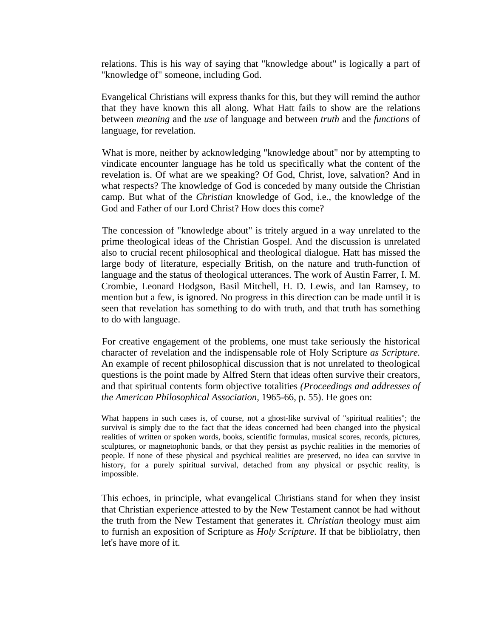relations. This is his way of saying that "knowledge about" is logically a part of "knowledge of" someone, including God.

Evangelical Christians will express thanks for this, but they will remind the author that they have known this all along. What Hatt fails to show are the relations between *meaning* and the *use* of language and between *truth* and the *functions* of language, for revelation.

What is more, neither by acknowledging "knowledge about" nor by attempting to vindicate encounter language has he told us specifically what the content of the revelation is. Of what are we speaking? Of God, Christ, love, salvation? And in what respects? The knowledge of God is conceded by many outside the Christian camp. But what of the *Christian* knowledge of God, i.e., the knowledge of the God and Father of our Lord Christ? How does this come?

The concession of "knowledge about" is tritely argued in a way unrelated to the prime theological ideas of the Christian Gospel. And the discussion is unrelated also to crucial recent philosophical and theological dialogue. Hatt has missed the large body of literature, especially British, on the nature and truth-function of language and the status of theological utterances. The work of Austin Farrer, I. M. Crombie, Leonard Hodgson, Basil Mitchell, H. D. Lewis, and Ian Ramsey, to mention but a few, is ignored. No progress in this direction can be made until it is seen that revelation has something to do with truth, and that truth has something to do with language.

For creative engagement of the problems, one must take seriously the historical character of revelation and the indispensable role of Holy Scripture *as Scripture.*  An example of recent philosophical discussion that is not unrelated to theological questions is the point made by Alfred Stern that ideas often survive their creators, and that spiritual contents form objective totalities *(Proceedings and addresses of the American Philosophical Association,* 1965-66, p. 55). He goes on:

What happens in such cases is, of course, not a ghost-like survival of "spiritual realities"; the survival is simply due to the fact that the ideas concerned had been changed into the physical realities of written or spoken words, books, scientific formulas, musical scores, records, pictures, sculptures, or magnetophonic bands, or that they persist as psychic realities in the memories of people. If none of these physical and psychical realities are preserved, no idea can survive in history, for a purely spiritual survival, detached from any physical or psychic reality, is impossible.

This echoes, in principle, what evangelical Christians stand for when they insist that Christian experience attested to by the New Testament cannot be had without the truth from the New Testament that generates it. *Christian* theology must aim to furnish an exposition of Scripture as *Holy Scripture.* If that be bibliolatry, then let's have more of it.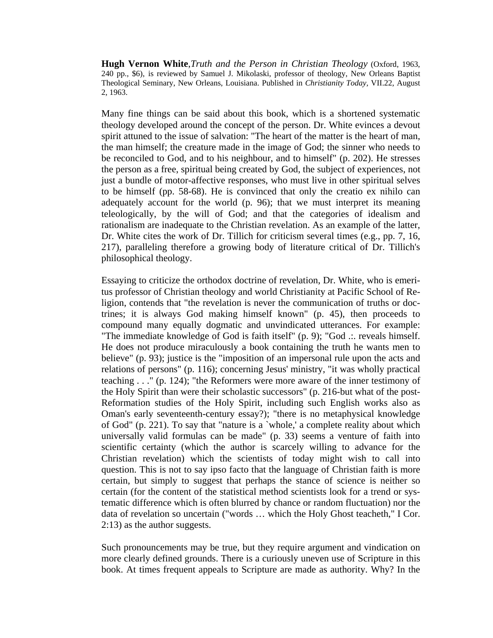**Hugh Vernon White**,*Truth and the Person in Christian Theology* (Oxford, 1963, 240 pp., \$6), is reviewed by Samuel J. Mikolaski, professor of theology, New Orleans Baptist Theological Seminary, New Orleans, Louisiana. Published in *Christianity Today,* VII.22, August 2, 1963.

Many fine things can be said about this book, which is a shortened systematic theology developed around the concept of the person. Dr. White evinces a devout spirit attuned to the issue of salvation: "The heart of the matter is the heart of man, the man himself; the creature made in the image of God; the sinner who needs to be reconciled to God, and to his neighbour, and to himself" (p. 202). He stresses the person as a free, spiritual being created by God, the subject of experiences, not just a bundle of motor-affective responses, who must live in other spiritual selves to be himself (pp. 58-68). He is convinced that only the creatio ex nihilo can adequately account for the world (p. 96); that we must interpret its meaning teleologically, by the will of God; and that the categories of idealism and rationalism are inadequate to the Christian revelation. As an example of the latter, Dr. White cites the work of Dr. Tillich for criticism several times (e.g., pp. 7, 16, 217), paralleling therefore a growing body of literature critical of Dr. Tillich's philosophical theology.

Essaying to criticize the orthodox doctrine of revelation, Dr. White, who is emeritus professor of Christian theology and world Christianity at Pacific School of Religion, contends that "the revelation is never the communication of truths or doctrines; it is always God making himself known" (p. 45), then proceeds to compound many equally dogmatic and unvindicated utterances. For example: "The immediate knowledge of God is faith itself" (p. 9); "God .:. reveals himself. He does not produce miraculously a book containing the truth he wants men to believe" (p. 93); justice is the "imposition of an impersonal rule upon the acts and relations of persons" (p. 116); concerning Jesus' ministry, "it was wholly practical teaching . . ." (p. 124); "the Reformers were more aware of the inner testimony of the Holy Spirit than were their scholastic successors" (p. 216-but what of the post-Reformation studies of the Holy Spirit, including such English works also as Oman's early seventeenth-century essay?); "there is no metaphysical knowledge of God" (p. 221). To say that "nature is a `whole,' a complete reality about which universally valid formulas can be made" (p. 33) seems a venture of faith into scientific certainty (which the author is scarcely willing to advance for the Christian revelation) which the scientists of today might wish to call into question. This is not to say ipso facto that the language of Christian faith is more certain, but simply to suggest that perhaps the stance of science is neither so certain (for the content of the statistical method scientists look for a trend or systematic difference which is often blurred by chance or random fluctuation) nor the data of revelation so uncertain ("words … which the Holy Ghost teacheth," I Cor. 2:13) as the author suggests.

Such pronouncements may be true, but they require argument and vindication on more clearly defined grounds. There is a curiously uneven use of Scripture in this book. At times frequent appeals to Scripture are made as authority. Why? In the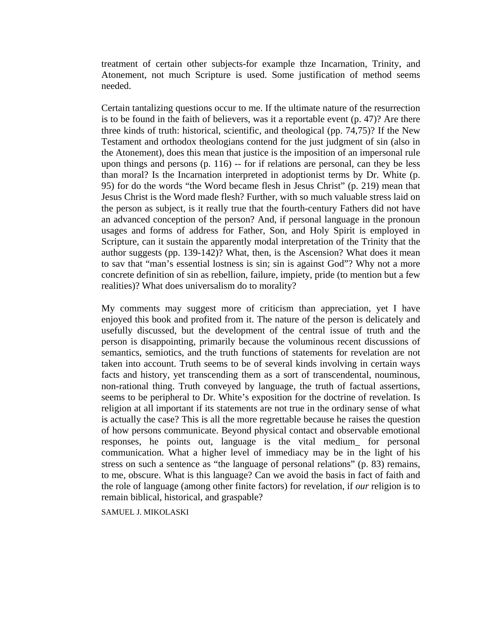treatment of certain other subjects-for example thze Incarnation, Trinity, and Atonement, not much Scripture is used. Some justification of method seems needed.

Certain tantalizing questions occur to me. If the ultimate nature of the resurrection is to be found in the faith of believers, was it a reportable event (p. 47)? Are there three kinds of truth: historical, scientific, and theological (pp. 74,75)? If the New Testament and orthodox theologians contend for the just judgment of sin (also in the Atonement), does this mean that justice is the imposition of an impersonal rule upon things and persons (p. 116) -- for if relations are personal, can they be less than moral? Is the Incarnation interpreted in adoptionist terms by Dr. White (p. 95) for do the words "the Word became flesh in Jesus Christ" (p. 219) mean that Jesus Christ is the Word made flesh? Further, with so much valuable stress laid on the person as subject, is it really true that the fourth-century Fathers did not have an advanced conception of the person? And, if personal language in the pronoun usages and forms of address for Father, Son, and Holy Spirit is employed in Scripture, can it sustain the apparently modal interpretation of the Trinity that the author suggests (pp. 139-142)? What, then, is the Ascension? What does it mean to sav that "man's essential lostness is sin; sin is against God"? Why not a more concrete definition of sin as rebellion, failure, impiety, pride (to mention but a few realities)? What does universalism do to morality?

My comments may suggest more of criticism than appreciation, yet I have enjoyed this book and profited from it. The nature of the person is delicately and usefully discussed, but the development of the central issue of truth and the person is disappointing, primarily because the voluminous recent discussions of semantics, semiotics, and the truth functions of statements for revelation are not taken into account. Truth seems to be of several kinds involving in certain ways facts and history, yet transcending them as a sort of transcendental, nouminous, non-rational thing. Truth conveyed by language, the truth of factual assertions, seems to be peripheral to Dr. White's exposition for the doctrine of revelation. Is religion at all important if its statements are not true in the ordinary sense of what is actually the case? This is all the more regrettable because he raises the question of how persons communicate. Beyond physical contact and observable emotional responses, he points out, language is the vital medium\_ for personal communication. What a higher level of immediacy may be in the light of his stress on such a sentence as "the language of personal relations" (p. 83) remains, to me, obscure. What is this language? Can we avoid the basis in fact of faith and the role of language (among other finite factors) for revelation, if *our* religion is to remain biblical, historical, and graspable?

SAMUEL J. MIKOLASKI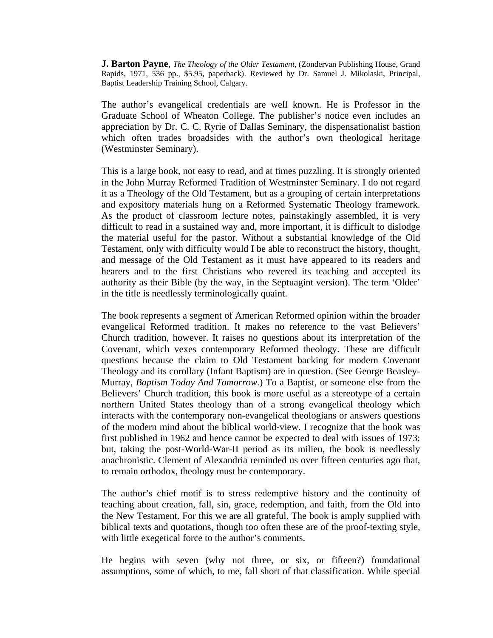**J. Barton Payne**, *The Theology of the Older Testament*, (Zondervan Publishing House, Grand Rapids, 1971, 536 pp., \$5.95, paperback). Reviewed by Dr. Samuel J. Mikolaski, Principal, Baptist Leadership Training School, Calgary.

The author's evangelical credentials are well known. He is Professor in the Graduate School of Wheaton College. The publisher's notice even includes an appreciation by Dr. C. C. Ryrie of Dallas Seminary, the dispensationalist bastion which often trades broadsides with the author's own theological heritage (Westminster Seminary).

This is a large book, not easy to read, and at times puzzling. It is strongly oriented in the John Murray Reformed Tradition of Westminster Seminary. I do not regard it as a Theology of the Old Testament, but as a grouping of certain interpretations and expository materials hung on a Reformed Systematic Theology framework. As the product of classroom lecture notes, painstakingly assembled, it is very difficult to read in a sustained way and, more important, it is difficult to dislodge the material useful for the pastor. Without a substantial knowledge of the Old Testament, only with difficulty would I be able to reconstruct the history, thought, and message of the Old Testament as it must have appeared to its readers and hearers and to the first Christians who revered its teaching and accepted its authority as their Bible (by the way, in the Septuagint version). The term 'Older' in the title is needlessly terminologically quaint.

The book represents a segment of American Reformed opinion within the broader evangelical Reformed tradition. It makes no reference to the vast Believers' Church tradition, however. It raises no questions about its interpretation of the Covenant, which vexes contemporary Reformed theology. These are difficult questions because the claim to Old Testament backing for modern Covenant Theology and its corollary (Infant Baptism) are in question. (See George Beasley-Murray, *Baptism Today And Tomorrow*.) To a Baptist, or someone else from the Believers' Church tradition, this book is more useful as a stereotype of a certain northern United States theology than of a strong evangelical theology which interacts with the contemporary non-evangelical theologians or answers questions of the modern mind about the biblical world-view. I recognize that the book was first published in 1962 and hence cannot be expected to deal with issues of 1973; but, taking the post-World-War-II period as its milieu, the book is needlessly anachronistic. Clement of Alexandria reminded us over fifteen centuries ago that, to remain orthodox, theology must be contemporary.

The author's chief motif is to stress redemptive history and the continuity of teaching about creation, fall, sin, grace, redemption, and faith, from the Old into the New Testament. For this we are all grateful. The book is amply supplied with biblical texts and quotations, though too often these are of the proof-texting style, with little exegetical force to the author's comments.

He begins with seven (why not three, or six, or fifteen?) foundational assumptions, some of which, to me, fall short of that classification. While special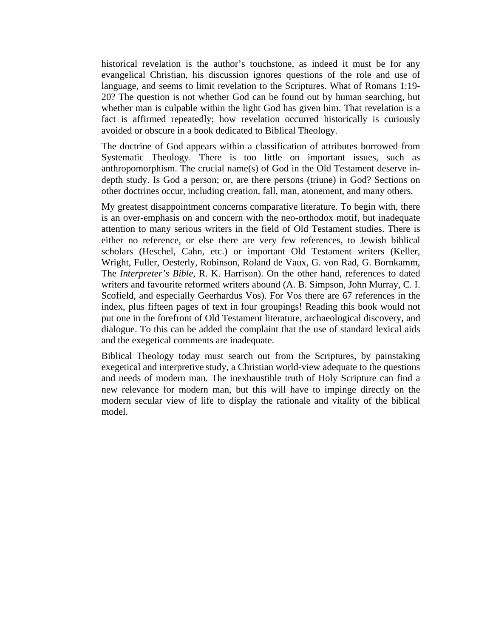historical revelation is the author's touchstone, as indeed it must be for any evangelical Christian, his discussion ignores questions of the role and use of language, and seems to limit revelation to the Scriptures. What of Romans 1:19- 20? The question is not whether God can be found out by human searching, but whether man is culpable within the light God has given him. That revelation is a fact is affirmed repeatedly; how revelation occurred historically is curiously avoided or obscure in a book dedicated to Biblical Theology.

The doctrine of God appears within a classification of attributes borrowed from Systematic Theology. There is too little on important issues, such as anthropomorphism. The crucial name(s) of God in the Old Testament deserve indepth study. Is God a person; or, are there persons (triune) in God? Sections on other doctrines occur, including creation, fall, man, atonement, and many others.

My greatest disappointment concerns comparative literature. To begin with, there is an over-emphasis on and concern with the neo-orthodox motif, but inadequate attention to many serious writers in the field of Old Testament studies. There is either no reference, or else there are very few references, to Jewish biblical scholars (Heschel, Cahn, etc.) or important Old Testament writers (Keller, Wright, Fuller, Oesterly, Robinson, Roland de Vaux, G. von Rad, G. Bornkamm, The *Interpreter's Bible*, R. K. Harrison). On the other hand, references to dated writers and favourite reformed writers abound (A. B. Simpson, John Murray, C. I. Scofield, and especially Geerhardus Vos). For Vos there are 67 references in the index, plus fifteen pages of text in four groupings! Reading this book would not put one in the forefront of Old Testament literature, archaeological discovery, and dialogue. To this can be added the complaint that the use of standard lexical aids and the exegetical comments are inadequate.

Biblical Theology today must search out from the Scriptures, by painstaking exegetical and interpretive study, a Christian world-view adequate to the questions and needs of modern man. The inexhaustible truth of Holy Scripture can find a new relevance for modern man, but this will have to impinge directly on the modern secular view of life to display the rationale and vitality of the biblical model.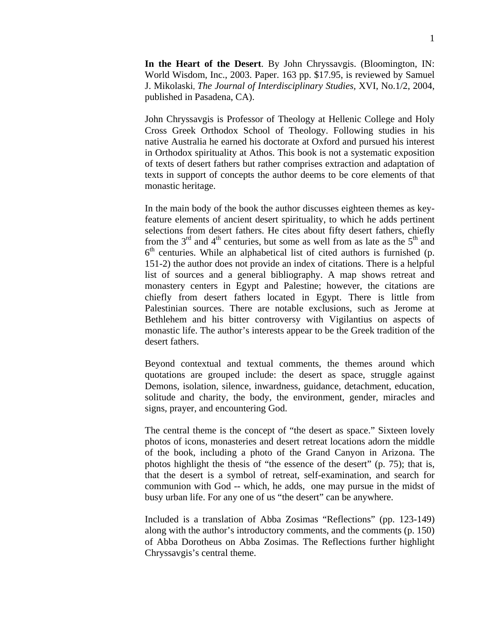**In the Heart of the Desert**. By John Chryssavgis. (Bloomington, IN: World Wisdom, Inc., 2003. Paper. 163 pp. \$17.95, is reviewed by Samuel J. Mikolaski, *The Journal of Interdisciplinary Studies,* XVI, No.1/2, 2004, published in Pasadena, CA).

John Chryssavgis is Professor of Theology at Hellenic College and Holy Cross Greek Orthodox School of Theology. Following studies in his native Australia he earned his doctorate at Oxford and pursued his interest in Orthodox spirituality at Athos. This book is not a systematic exposition of texts of desert fathers but rather comprises extraction and adaptation of texts in support of concepts the author deems to be core elements of that monastic heritage.

In the main body of the book the author discusses eighteen themes as keyfeature elements of ancient desert spirituality, to which he adds pertinent selections from desert fathers. He cites about fifty desert fathers, chiefly from the  $3<sup>rd</sup>$  and  $4<sup>th</sup>$  centuries, but some as well from as late as the  $5<sup>th</sup>$  and  $6<sup>th</sup>$  centuries. While an alphabetical list of cited authors is furnished (p. 151-2) the author does not provide an index of citations. There is a helpful list of sources and a general bibliography. A map shows retreat and monastery centers in Egypt and Palestine; however, the citations are chiefly from desert fathers located in Egypt. There is little from Palestinian sources. There are notable exclusions, such as Jerome at Bethlehem and his bitter controversy with Vigilantius on aspects of monastic life. The author's interests appear to be the Greek tradition of the desert fathers.

Beyond contextual and textual comments, the themes around which quotations are grouped include: the desert as space, struggle against Demons, isolation, silence, inwardness, guidance, detachment, education, solitude and charity, the body, the environment, gender, miracles and signs, prayer, and encountering God.

The central theme is the concept of "the desert as space." Sixteen lovely photos of icons, monasteries and desert retreat locations adorn the middle of the book, including a photo of the Grand Canyon in Arizona. The photos highlight the thesis of "the essence of the desert" (p. 75); that is, that the desert is a symbol of retreat, self-examination, and search for communion with God -- which, he adds, one may pursue in the midst of busy urban life. For any one of us "the desert" can be anywhere.

Included is a translation of Abba Zosimas "Reflections" (pp. 123-149) along with the author's introductory comments, and the comments (p. 150) of Abba Dorotheus on Abba Zosimas. The Reflections further highlight Chryssavgis's central theme.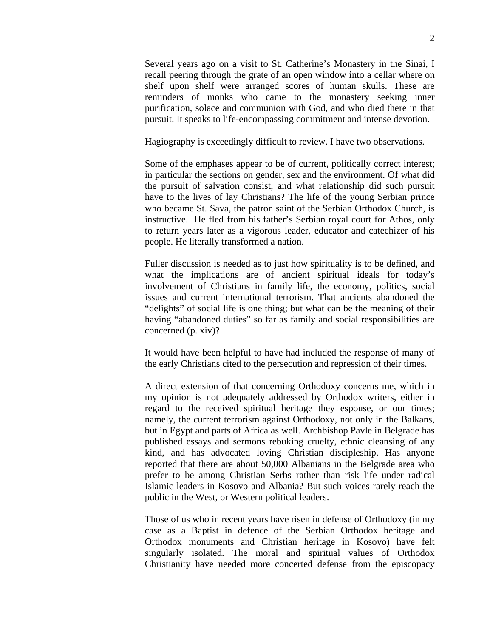Several years ago on a visit to St. Catherine's Monastery in the Sinai, I recall peering through the grate of an open window into a cellar where on shelf upon shelf were arranged scores of human skulls. These are reminders of monks who came to the monastery seeking inner purification, solace and communion with God, and who died there in that pursuit. It speaks to life-encompassing commitment and intense devotion.

Hagiography is exceedingly difficult to review. I have two observations.

Some of the emphases appear to be of current, politically correct interest; in particular the sections on gender, sex and the environment. Of what did the pursuit of salvation consist, and what relationship did such pursuit have to the lives of lay Christians? The life of the young Serbian prince who became St. Sava, the patron saint of the Serbian Orthodox Church, is instructive. He fled from his father's Serbian royal court for Athos, only to return years later as a vigorous leader, educator and catechizer of his people. He literally transformed a nation.

Fuller discussion is needed as to just how spirituality is to be defined, and what the implications are of ancient spiritual ideals for today's involvement of Christians in family life, the economy, politics, social issues and current international terrorism. That ancients abandoned the "delights" of social life is one thing; but what can be the meaning of their having "abandoned duties" so far as family and social responsibilities are concerned (p. xiv)?

It would have been helpful to have had included the response of many of the early Christians cited to the persecution and repression of their times.

A direct extension of that concerning Orthodoxy concerns me, which in my opinion is not adequately addressed by Orthodox writers, either in regard to the received spiritual heritage they espouse, or our times; namely, the current terrorism against Orthodoxy, not only in the Balkans, but in Egypt and parts of Africa as well. Archbishop Pavle in Belgrade has published essays and sermons rebuking cruelty, ethnic cleansing of any kind, and has advocated loving Christian discipleship. Has anyone reported that there are about 50,000 Albanians in the Belgrade area who prefer to be among Christian Serbs rather than risk life under radical Islamic leaders in Kosovo and Albania? But such voices rarely reach the public in the West, or Western political leaders.

Those of us who in recent years have risen in defense of Orthodoxy (in my case as a Baptist in defence of the Serbian Orthodox heritage and Orthodox monuments and Christian heritage in Kosovo) have felt singularly isolated. The moral and spiritual values of Orthodox Christianity have needed more concerted defense from the episcopacy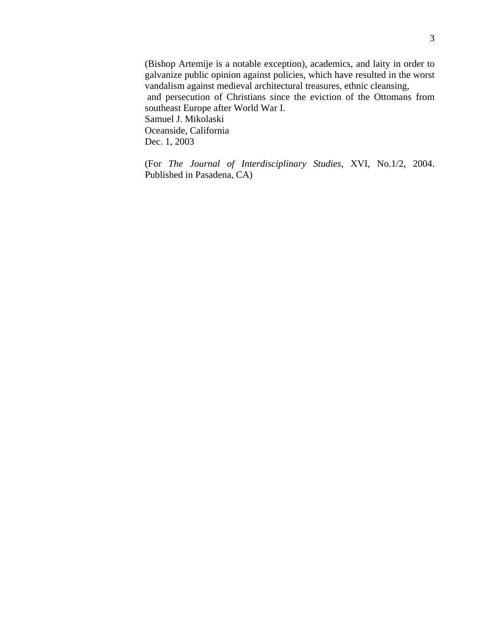(Bishop Artemije is a notable exception), academics, and laity in order to galvanize public opinion against policies, which have resulted in the worst vandalism against medieval architectural treasures, ethnic cleansing, and persecution of Christians since the eviction of the Ottomans from southeast Europe after World War I. Samuel J. Mikolaski Oceanside, California Dec. 1, 2003

(For *The Journal of Interdisciplinary Studies,* XVI, No.1/2, 2004. Published in Pasadena, CA)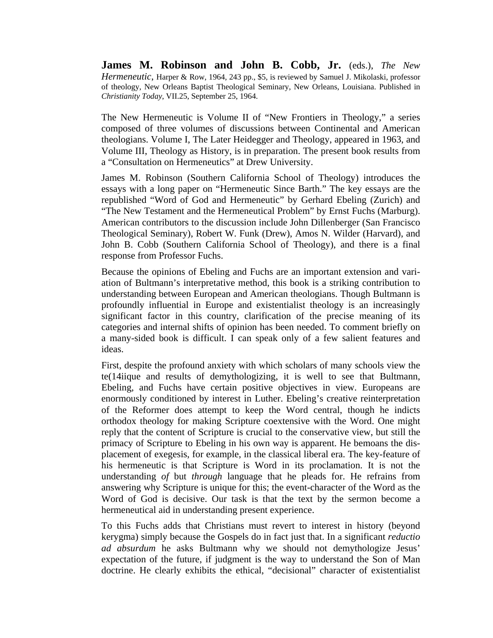**James M. Robinson and John B. Cobb, Jr.** (eds.), *The New Hermeneutic*, Harper & Row, 1964, 243 pp., \$5, is reviewed by Samuel J. Mikolaski, professor of theology, New Orleans Baptist Theological Seminary, New Orleans, Louisiana. Published in *Christianity Today*, VII.25, September 25, 1964.

The New Hermeneutic is Volume II of "New Frontiers in Theology," a series composed of three volumes of discussions between Continental and American theologians. Volume I, The Later Heidegger and Theology, appeared in 1963, and Volume III, Theology as History, is in preparation. The present book results from a "Consultation on Hermeneutics" at Drew University.

James M. Robinson (Southern California School of Theology) introduces the essays with a long paper on "Hermeneutic Since Barth." The key essays are the republished "Word of God and Hermeneutic" by Gerhard Ebeling (Zurich) and "The New Testament and the Hermeneutical Problem" by Ernst Fuchs (Marburg). American contributors to the discussion include John Dillenberger (San Francisco Theological Seminary), Robert W. Funk (Drew), Amos N. Wilder (Harvard), and John B. Cobb (Southern California School of Theology), and there is a final response from Professor Fuchs.

Because the opinions of Ebeling and Fuchs are an important extension and variation of Bultmann's interpretative method, this book is a striking contribution to understanding between European and American theologians. Though Bultmann is profoundly influential in Europe and existentialist theology is an increasingly significant factor in this country, clarification of the precise meaning of its categories and internal shifts of opinion has been needed. To comment briefly on a many-sided book is difficult. I can speak only of a few salient features and ideas.

First, despite the profound anxiety with which scholars of many schools view the te(14iique and results of demythologizing, it is well to see that Bultmann, Ebeling, and Fuchs have certain positive objectives in view. Europeans are enormously conditioned by interest in Luther. Ebeling's creative reinterpretation of the Reformer does attempt to keep the Word central, though he indicts orthodox theology for making Scripture coextensive with the Word. One might reply that the content of Scripture is crucial to the conservative view, but still the primacy of Scripture to Ebeling in his own way is apparent. He bemoans the displacement of exegesis, for example, in the classical liberal era. The key-feature of his hermeneutic is that Scripture is Word in its proclamation. It is not the understanding *of* but *through* language that he pleads for. He refrains from answering why Scripture is unique for this; the event-character of the Word as the Word of God is decisive. Our task is that the text by the sermon become a hermeneutical aid in understanding present experience.

To this Fuchs adds that Christians must revert to interest in history (beyond kerygma) simply because the Gospels do in fact just that. In a significant *reductio ad absurdum* he asks Bultmann why we should not demythologize Jesus' expectation of the future, if judgment is the way to understand the Son of Man doctrine. He clearly exhibits the ethical, "decisional" character of existentialist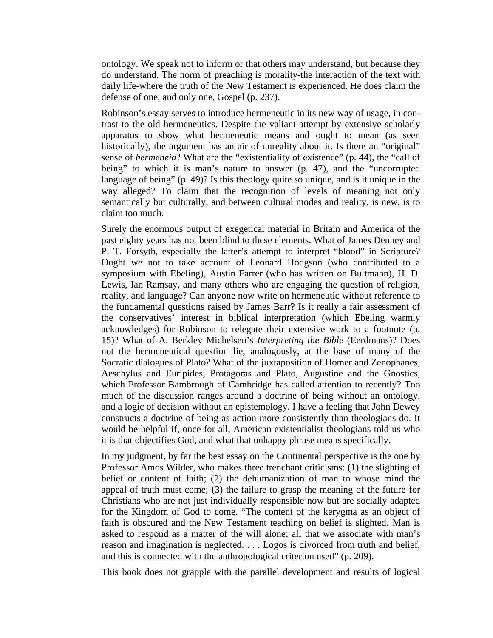ontology. We speak not to inform or that others may understand, but because they do understand. The norm of preaching is morality-the interaction of the text with daily life-where the truth of the New Testament is experienced. He does claim the defense of one, and only one, Gospel (p. 237).

Robinson's essay serves to introduce hermeneutic in its new way of usage, in contrast to the old hermeneutics. Despite the valiant attempt by extensive scholarly apparatus to show what hermeneutic means and ought to mean (as seen historically), the argument has an air of unreality about it. Is there an "original" sense of *hermeneia*? What are the "existentiality of existence" (p. 44), the "call of being" to which it is man's nature to answer (p. 47), and the "uncorrupted language of being" (p. 49)? Is this theology quite so unique, and is it unique in the way alleged? To claim that the recognition of levels of meaning not only semantically but culturally, and between cultural modes and reality, is new, is to claim too much.

Surely the enormous output of exegetical material in Britain and America of the past eighty years has not been blind to these elements. What of James Denney and P. T. Forsyth, especially the latter's attempt to interpret "blood" in Scripture? Ought we not to take account of Leonard Hodgson (who contributed to a symposium with Ebeling), Austin Farrer (who has written on Bultmann), H. D. Lewis, Ian Ramsay, and many others who are engaging the question of religion, reality, and language? Can anyone now write on hermeneutic without reference to the fundamental questions raised by James Barr? Is it really a fair assessment of the conservatives' interest in biblical interpretation (which Ebeling warmly acknowledges) for Robinson to relegate their extensive work to a footnote (p. 15)? What of A. Berkley Michelsen's *Interpreting the Bible* (Eerdmans)? Does not the hermeneutical question lie, analogously, at the base of many of the Socratic dialogues of Plato? What of the juxtaposition of Homer and Zenophanes, Aeschylus and Euripides, Protagoras and Plato, Augustine and the Gnostics, which Professor Bambrough of Cambridge has called attention to recently? Too much of the discussion ranges around a doctrine of being without an ontology. and a logic of decision without an epistemology. I have a feeling that John Dewey constructs a doctrine of being as action more consistently than theologians do. It would be helpful if, once for all, American existentialist theologians told us who it is that objectifies God, and what that unhappy phrase means specifically.

In my judgment, by far the best essay on the Continental perspective is the one by Professor Amos Wilder, who makes three trenchant criticisms: (1) the slighting of belief or content of faith; (2) the dehumanization of man to whose mind the appeal of truth must come; (3) the failure to grasp the meaning of the future for Christians who are not just individually responsible now but are socially adapted for the Kingdom of God to come. "The content of the kerygma as an object of faith is obscured and the New Testament teaching on belief is slighted. Man is asked to respond as a matter of the will alone; all that we associate with man's reason and imagination is neglected. . . . Logos is divorced from truth and belief, and this is connected with the anthropological criterion used" (p. 209).

This book does not grapple with the parallel development and results of logical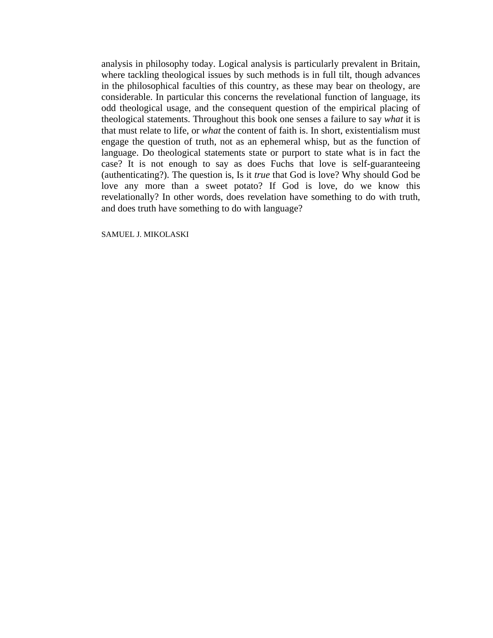analysis in philosophy today. Logical analysis is particularly prevalent in Britain, where tackling theological issues by such methods is in full tilt, though advances in the philosophical faculties of this country, as these may bear on theology, are considerable. In particular this concerns the revelational function of language, its odd theological usage, and the consequent question of the empirical placing of theological statements. Throughout this book one senses a failure to say *what* it is that must relate to life, or *what* the content of faith is. In short, existentialism must engage the question of truth, not as an ephemeral whisp, but as the function of language. Do theological statements state or purport to state what is in fact the case? It is not enough to say as does Fuchs that love is self-guaranteeing (authenticating?). The question is, Is it *true* that God is love? Why should God be love any more than a sweet potato? If God is love, do we know this revelationally? In other words, does revelation have something to do with truth, and does truth have something to do with language?

SAMUEL J. MIKOLASKI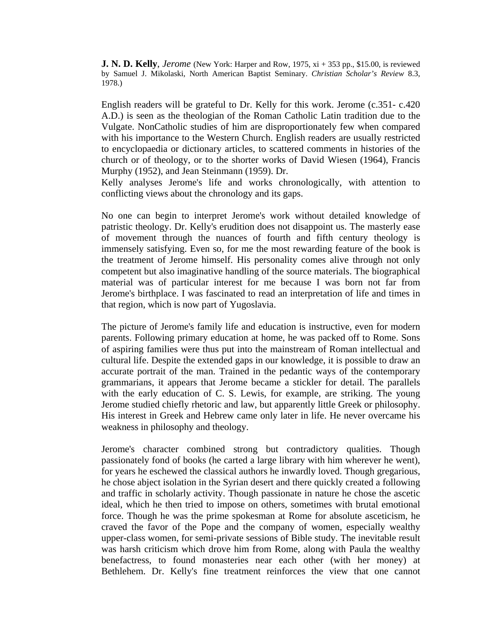**J. N. D. Kelly**, *Jerome* (New York: Harper and Row, 1975, xi + 353 pp., \$15.00, is reviewed by Samuel J. Mikolaski, North American Baptist Seminary. *Christian Scholar's Review* 8.3, 1978.)

English readers will be grateful to Dr. Kelly for this work. Jerome (c.351- c.420 A.D.) is seen as the theologian of the Roman Catholic Latin tradition due to the Vulgate. NonCatholic studies of him are disproportionately few when compared with his importance to the Western Church. English readers are usually restricted to encyclopaedia or dictionary articles, to scattered comments in histories of the church or of theology, or to the shorter works of David Wiesen (1964), Francis Murphy (1952), and Jean Steinmann (1959). Dr.

Kelly analyses Jerome's life and works chronologically, with attention to conflicting views about the chronology and its gaps.

No one can begin to interpret Jerome's work without detailed knowledge of patristic theology. Dr. Kelly's erudition does not disappoint us. The masterly ease of movement through the nuances of fourth and fifth century theology is immensely satisfying. Even so, for me the most rewarding feature of the book is the treatment of Jerome himself. His personality comes alive through not only competent but also imaginative handling of the source materials. The biographical material was of particular interest for me because I was born not far from Jerome's birthplace. I was fascinated to read an interpretation of life and times in that region, which is now part of Yugoslavia.

The picture of Jerome's family life and education is instructive, even for modern parents. Following primary education at home, he was packed off to Rome. Sons of aspiring families were thus put into the mainstream of Roman intellectual and cultural life. Despite the extended gaps in our knowledge, it is possible to draw an accurate portrait of the man. Trained in the pedantic ways of the contemporary grammarians, it appears that Jerome became a stickler for detail. The parallels with the early education of C. S. Lewis, for example, are striking. The young Jerome studied chiefly rhetoric and law, but apparently little Greek or philosophy. His interest in Greek and Hebrew came only later in life. He never overcame his weakness in philosophy and theology.

Jerome's character combined strong but contradictory qualities. Though passionately fond of books (he carted a large library with him wherever he went), for years he eschewed the classical authors he inwardly loved. Though gregarious, he chose abject isolation in the Syrian desert and there quickly created a following and traffic in scholarly activity. Though passionate in nature he chose the ascetic ideal, which he then tried to impose on others, sometimes with brutal emotional force. Though he was the prime spokesman at Rome for absolute asceticism, he craved the favor of the Pope and the company of women, especially wealthy upper-class women, for semi-private sessions of Bible study. The inevitable result was harsh criticism which drove him from Rome, along with Paula the wealthy benefactress, to found monasteries near each other (with her money) at Bethlehem. Dr. Kelly's fine treatment reinforces the view that one cannot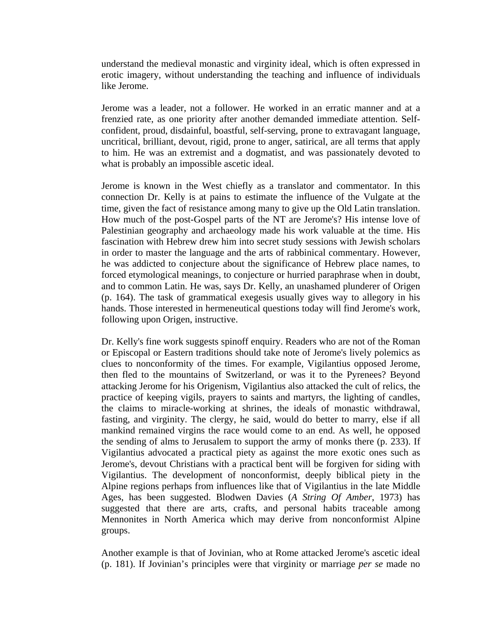understand the medieval monastic and virginity ideal, which is often expressed in erotic imagery, without understanding the teaching and influence of individuals like Jerome.

Jerome was a leader, not a follower. He worked in an erratic manner and at a frenzied rate, as one priority after another demanded immediate attention. Selfconfident, proud, disdainful, boastful, self-serving, prone to extravagant language, uncritical, brilliant, devout, rigid, prone to anger, satirical, are all terms that apply to him. He was an extremist and a dogmatist, and was passionately devoted to what is probably an impossible ascetic ideal.

Jerome is known in the West chiefly as a translator and commentator. In this connection Dr. Kelly is at pains to estimate the influence of the Vulgate at the time, given the fact of resistance among many to give up the Old Latin translation. How much of the post-Gospel parts of the NT are Jerome's? His intense love of Palestinian geography and archaeology made his work valuable at the time. His fascination with Hebrew drew him into secret study sessions with Jewish scholars in order to master the language and the arts of rabbinical commentary. However, he was addicted to conjecture about the significance of Hebrew place names, to forced etymological meanings, to conjecture or hurried paraphrase when in doubt, and to common Latin. He was, says Dr. Kelly, an unashamed plunderer of Origen (p. 164). The task of grammatical exegesis usually gives way to allegory in his hands. Those interested in hermeneutical questions today will find Jerome's work, following upon Origen, instructive.

Dr. Kelly's fine work suggests spinoff enquiry. Readers who are not of the Roman or Episcopal or Eastern traditions should take note of Jerome's lively polemics as clues to nonconformity of the times. For example, Vigilantius opposed Jerome, then fled to the mountains of Switzerland, or was it to the Pyrenees? Beyond attacking Jerome for his Origenism, Vigilantius also attacked the cult of relics, the practice of keeping vigils, prayers to saints and martyrs, the lighting of candles, the claims to miracle-working at shrines, the ideals of monastic withdrawal, fasting, and virginity. The clergy, he said, would do better to marry, else if all mankind remained virgins the race would come to an end. As well, he opposed the sending of alms to Jerusalem to support the army of monks there (p. 233). If Vigilantius advocated a practical piety as against the more exotic ones such as Jerome's, devout Christians with a practical bent will be forgiven for siding with Vigilantius. The development of nonconformist, deeply biblical piety in the Alpine regions perhaps from influences like that of Vigilantius in the late Middle Ages, has been suggested. Blodwen Davies (*A String Of Amber*, 1973) has suggested that there are arts, crafts, and personal habits traceable among Mennonites in North America which may derive from nonconformist Alpine groups.

Another example is that of Jovinian, who at Rome attacked Jerome's ascetic ideal (p. 181). If Jovinian's principles were that virginity or marriage *per se* made no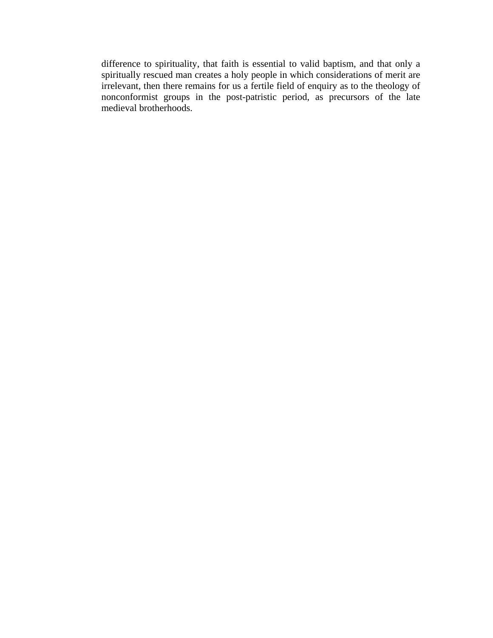difference to spirituality, that faith is essential to valid baptism, and that only a spiritually rescued man creates a holy people in which considerations of merit are irrelevant, then there remains for us a fertile field of enquiry as to the theology of nonconformist groups in the post-patristic period, as precursors of the late medieval brotherhoods.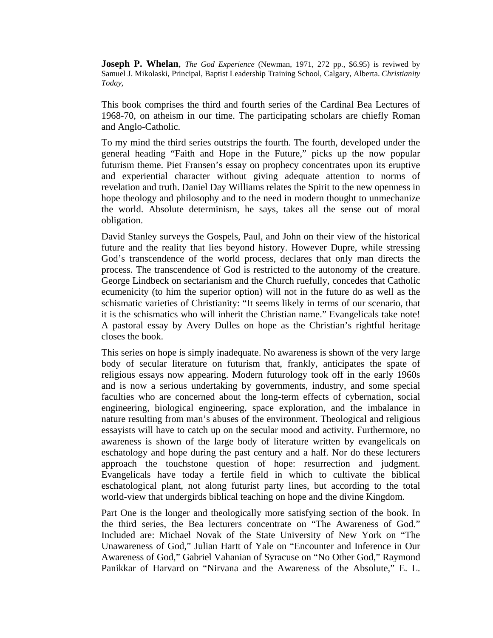**Joseph P. Whelan**, *The God Experience* (Newman, 1971, 272 pp., \$6.95) is reviwed by Samuel J. Mikolaski, Principal, Baptist Leadership Training School, Calgary, Alberta. *Christianity Today,* 

This book comprises the third and fourth series of the Cardinal Bea Lectures of 1968-70, on atheism in our time. The participating scholars are chiefly Roman and Anglo-Catholic.

To my mind the third series outstrips the fourth. The fourth, developed under the general heading "Faith and Hope in the Future," picks up the now popular futurism theme. Piet Fransen's essay on prophecy concentrates upon its eruptive and experiential character without giving adequate attention to norms of revelation and truth. Daniel Day Williams relates the Spirit to the new openness in hope theology and philosophy and to the need in modern thought to unmechanize the world. Absolute determinism, he says, takes all the sense out of moral obligation.

David Stanley surveys the Gospels, Paul, and John on their view of the historical future and the reality that lies beyond history. However Dupre, while stressing God's transcendence of the world process, declares that only man directs the process. The transcendence of God is restricted to the autonomy of the creature. George Lindbeck on sectarianism and the Church ruefully, concedes that Catholic ecumenicity (to him the superior option) will not in the future do as well as the schismatic varieties of Christianity: "It seems likely in terms of our scenario, that it is the schismatics who will inherit the Christian name." Evangelicals take note! A pastoral essay by Avery Dulles on hope as the Christian's rightful heritage closes the book.

This series on hope is simply inadequate. No awareness is shown of the very large body of secular literature on futurism that, frankly, anticipates the spate of religious essays now appearing. Modern futurology took off in the early 1960s and is now a serious undertaking by governments, industry, and some special faculties who are concerned about the long-term effects of cybernation, social engineering, biological engineering, space exploration, and the imbalance in nature resulting from man's abuses of the environment. Theological and religious essayists will have to catch up on the secular mood and activity. Furthermore, no awareness is shown of the large body of literature written by evangelicals on eschatology and hope during the past century and a half. Nor do these lecturers approach the touchstone question of hope: resurrection and judgment. Evangelicals have today a fertile field in which to cultivate the biblical eschatological plant, not along futurist party lines, but according to the total world-view that undergirds biblical teaching on hope and the divine Kingdom.

Part One is the longer and theologically more satisfying section of the book. In the third series, the Bea lecturers concentrate on "The Awareness of God." Included are: Michael Novak of the State University of New York on "The Unawareness of God," Julian Hartt of Yale on "Encounter and Inference in Our Awareness of God," Gabriel Vahanian of Syracuse on "No Other God," Raymond Panikkar of Harvard on "Nirvana and the Awareness of the Absolute," E. L.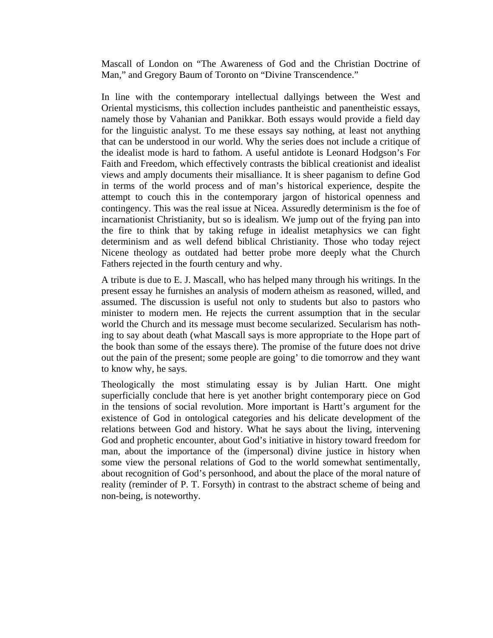Mascall of London on "The Awareness of God and the Christian Doctrine of Man," and Gregory Baum of Toronto on "Divine Transcendence."

In line with the contemporary intellectual dallyings between the West and Oriental mysticisms, this collection includes pantheistic and panentheistic essays, namely those by Vahanian and Panikkar. Both essays would provide a field day for the linguistic analyst. To me these essays say nothing, at least not anything that can be understood in our world. Why the series does not include a critique of the idealist mode is hard to fathom. A useful antidote is Leonard Hodgson's For Faith and Freedom, which effectively contrasts the biblical creationist and idealist views and amply documents their misalliance. It is sheer paganism to define God in terms of the world process and of man's historical experience, despite the attempt to couch this in the contemporary jargon of historical openness and contingency. This was the real issue at Nicea. Assuredly determinism is the foe of incarnationist Christianity, but so is idealism. We jump out of the frying pan into the fire to think that by taking refuge in idealist metaphysics we can fight determinism and as well defend biblical Christianity. Those who today reject Nicene theology as outdated had better probe more deeply what the Church Fathers rejected in the fourth century and why.

A tribute is due to E. J. Mascall, who has helped many through his writings. In the present essay he furnishes an analysis of modern atheism as reasoned, willed, and assumed. The discussion is useful not only to students but also to pastors who minister to modern men. He rejects the current assumption that in the secular world the Church and its message must become secularized. Secularism has nothing to say about death (what Mascall says is more appropriate to the Hope part of the book than some of the essays there). The promise of the future does not drive out the pain of the present; some people are going' to die tomorrow and they want to know why, he says.

Theologically the most stimulating essay is by Julian Hartt. One might superficially conclude that here is yet another bright contemporary piece on God in the tensions of social revolution. More important is Hartt's argument for the existence of God in ontological categories and his delicate development of the relations between God and history. What he says about the living, intervening God and prophetic encounter, about God's initiative in history toward freedom for man, about the importance of the (impersonal) divine justice in history when some view the personal relations of God to the world somewhat sentimentally, about recognition of God's personhood, and about the place of the moral nature of reality (reminder of P. T. Forsyth) in contrast to the abstract scheme of being and non-being, is noteworthy.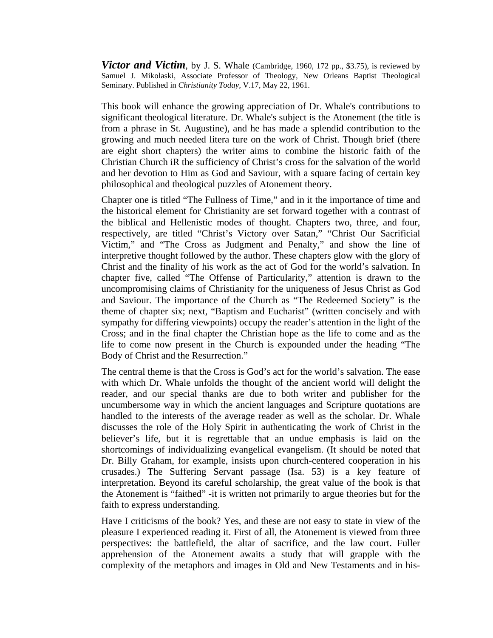*Victor and Victim*, by J. S. Whale (Cambridge, 1960, 172 pp., \$3.75), is reviewed by Samuel J. Mikolaski, Associate Professor of Theology, New Orleans Baptist Theological Seminary. Published in *Christianity Today,* V.17, May 22, 1961.

This book will enhance the growing appreciation of Dr. Whale's contributions to significant theological literature. Dr. Whale's subject is the Atonement (the title is from a phrase in St. Augustine), and he has made a splendid contribution to the growing and much needed litera ture on the work of Christ. Though brief (there are eight short chapters) the writer aims to combine the historic faith of the Christian Church iR the sufficiency of Christ's cross for the salvation of the world and her devotion to Him as God and Saviour, with a square facing of certain key philosophical and theological puzzles of Atonement theory.

Chapter one is titled "The Fullness of Time," and in it the importance of time and the historical element for Christianity are set forward together with a contrast of the biblical and Hellenistic modes of thought. Chapters two, three, and four, respectively, are titled "Christ's Victory over Satan," "Christ Our Sacrificial Victim," and "The Cross as Judgment and Penalty," and show the line of interpretive thought followed by the author. These chapters glow with the glory of Christ and the finality of his work as the act of God for the world's salvation. In chapter five, called "The Offense of Particularity," attention is drawn to the uncompromising claims of Christianity for the uniqueness of Jesus Christ as God and Saviour. The importance of the Church as "The Redeemed Society" is the theme of chapter six; next, "Baptism and Eucharist" (written concisely and with sympathy for differing viewpoints) occupy the reader's attention in the light of the Cross; and in the final chapter the Christian hope as the life to come and as the life to come now present in the Church is expounded under the heading "The Body of Christ and the Resurrection."

The central theme is that the Cross is God's act for the world's salvation. The ease with which Dr. Whale unfolds the thought of the ancient world will delight the reader, and our special thanks are due to both writer and publisher for the uncumbersome way in which the ancient languages and Scripture quotations are handled to the interests of the average reader as well as the scholar. Dr. Whale discusses the role of the Holy Spirit in authenticating the work of Christ in the believer's life, but it is regrettable that an undue emphasis is laid on the shortcomings of individualizing evangelical evangelism. (It should be noted that Dr. Billy Graham, for example, insists upon church-centered cooperation in his crusades.) The Suffering Servant passage (Isa. 53) is a key feature of interpretation. Beyond its careful scholarship, the great value of the book is that the Atonement is "faithed" -it is written not primarily to argue theories but for the faith to express understanding.

Have I criticisms of the book? Yes, and these are not easy to state in view of the pleasure I experienced reading it. First of all, the Atonement is viewed from three perspectives: the battlefield, the altar of sacrifice, and the law court. Fuller apprehension of the Atonement awaits a study that will grapple with the complexity of the metaphors and images in Old and New Testaments and in his-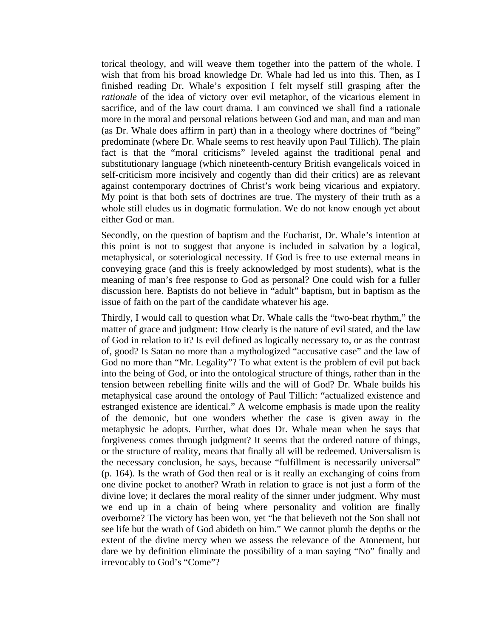torical theology, and will weave them together into the pattern of the whole. I wish that from his broad knowledge Dr. Whale had led us into this. Then, as I finished reading Dr. Whale's exposition I felt myself still grasping after the *rationale* of the idea of victory over evil metaphor, of the vicarious element in sacrifice, and of the law court drama. I am convinced we shall find a rationale more in the moral and personal relations between God and man, and man and man (as Dr. Whale does affirm in part) than in a theology where doctrines of "being" predominate (where Dr. Whale seems to rest heavily upon Paul Tillich). The plain fact is that the "moral criticisms" leveled against the traditional penal and substitutionary language (which nineteenth-century British evangelicals voiced in self-criticism more incisively and cogently than did their critics) are as relevant against contemporary doctrines of Christ's work being vicarious and expiatory. My point is that both sets of doctrines are true. The mystery of their truth as a whole still eludes us in dogmatic formulation. We do not know enough yet about either God or man.

Secondly, on the question of baptism and the Eucharist, Dr. Whale's intention at this point is not to suggest that anyone is included in salvation by a logical, metaphysical, or soteriological necessity. If God is free to use external means in conveying grace (and this is freely acknowledged by most students), what is the meaning of man's free response to God as personal? One could wish for a fuller discussion here. Baptists do not believe in "adult" baptism, but in baptism as the issue of faith on the part of the candidate whatever his age.

Thirdly, I would call to question what Dr. Whale calls the "two-beat rhythm," the matter of grace and judgment: How clearly is the nature of evil stated, and the law of God in relation to it? Is evil defined as logically necessary to, or as the contrast of, good? Is Satan no more than a mythologized "accusative case" and the law of God no more than "Mr. Legality"? To what extent is the problem of evil put back into the being of God, or into the ontological structure of things, rather than in the tension between rebelling finite wills and the will of God? Dr. Whale builds his metaphysical case around the ontology of Paul Tillich: "actualized existence and estranged existence are identical." A welcome emphasis is made upon the reality of the demonic, but one wonders whether the case is given away in the metaphysic he adopts. Further, what does Dr. Whale mean when he says that forgiveness comes through judgment? It seems that the ordered nature of things, or the structure of reality, means that finally all will be redeemed. Universalism is the necessary conclusion, he says, because "fulfillment is necessarily universal" (p. 164). Is the wrath of God then real or is it really an exchanging of coins from one divine pocket to another? Wrath in relation to grace is not just a form of the divine love; it declares the moral reality of the sinner under judgment. Why must we end up in a chain of being where personality and volition are finally overborne? The victory has been won, yet "he that believeth not the Son shall not see life but the wrath of God abideth on him." We cannot plumb the depths or the extent of the divine mercy when we assess the relevance of the Atonement, but dare we by definition eliminate the possibility of a man saying "No" finally and irrevocably to God's "Come"?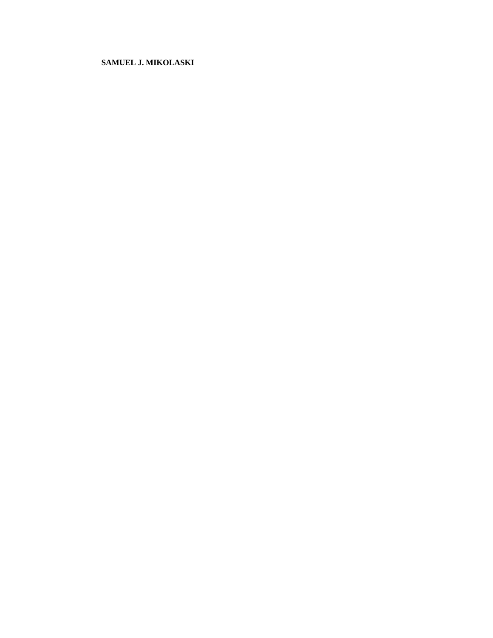## **SAMUEL J. MIKOLASKI**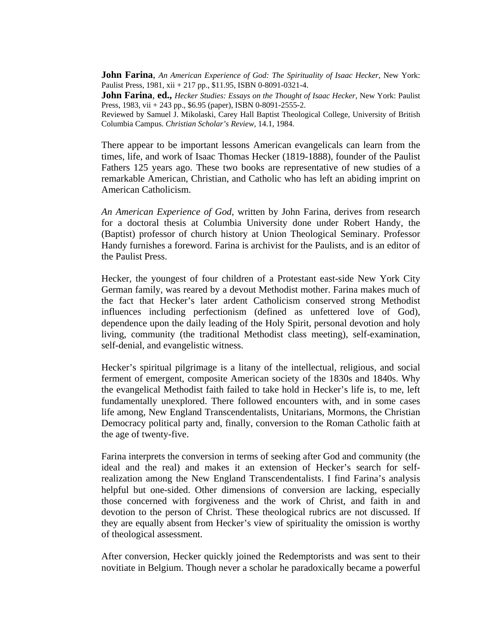**John Farina**, *An American Experience of God: The Spirituality of Isaac Hecker*, New York: Paulist Press, 1981, xii + 217 pp., \$11.95, ISBN 0-8091-0321-4.

**John Farina**, **ed.,** *Hecker Studies: Essays on the Thought of Isaac Hecker*, New York: Paulist Press, 1983, vii + 243 pp., \$6.95 (paper), ISBN 0-8091-2555-2.

Reviewed by Samuel J. Mikolaski, Carey Hall Baptist Theological College, University of British Columbia Campus. *Christian Scholar's Review,* 14.1, 1984.

There appear to be important lessons American evangelicals can learn from the times, life, and work of Isaac Thomas Hecker (1819-1888), founder of the Paulist Fathers 125 years ago. These two books are representative of new studies of a remarkable American, Christian, and Catholic who has left an abiding imprint on American Catholicism.

*An American Experience of God*, written by John Farina, derives from research for a doctoral thesis at Columbia University done under Robert Handy, the (Baptist) professor of church history at Union Theological Seminary. Professor Handy furnishes a foreword. Farina is archivist for the Paulists, and is an editor of the Paulist Press.

Hecker, the youngest of four children of a Protestant east-side New York City German family, was reared by a devout Methodist mother. Farina makes much of the fact that Hecker's later ardent Catholicism conserved strong Methodist influences including perfectionism (defined as unfettered love of God), dependence upon the daily leading of the Holy Spirit, personal devotion and holy living, community (the traditional Methodist class meeting), self-examination, self-denial, and evangelistic witness.

Hecker's spiritual pilgrimage is a litany of the intellectual, religious, and social ferment of emergent, composite American society of the 1830s and 1840s. Why the evangelical Methodist faith failed to take hold in Hecker's life is, to me, left fundamentally unexplored. There followed encounters with, and in some cases life among, New England Transcendentalists, Unitarians, Mormons, the Christian Democracy political party and, finally, conversion to the Roman Catholic faith at the age of twenty-five.

Farina interprets the conversion in terms of seeking after God and community (the ideal and the real) and makes it an extension of Hecker's search for selfrealization among the New England Transcendentalists. I find Farina's analysis helpful but one-sided. Other dimensions of conversion are lacking, especially those concerned with forgiveness and the work of Christ, and faith in and devotion to the person of Christ. These theological rubrics are not discussed. If they are equally absent from Hecker's view of spirituality the omission is worthy of theological assessment.

After conversion, Hecker quickly joined the Redemptorists and was sent to their novitiate in Belgium. Though never a scholar he paradoxically became a powerful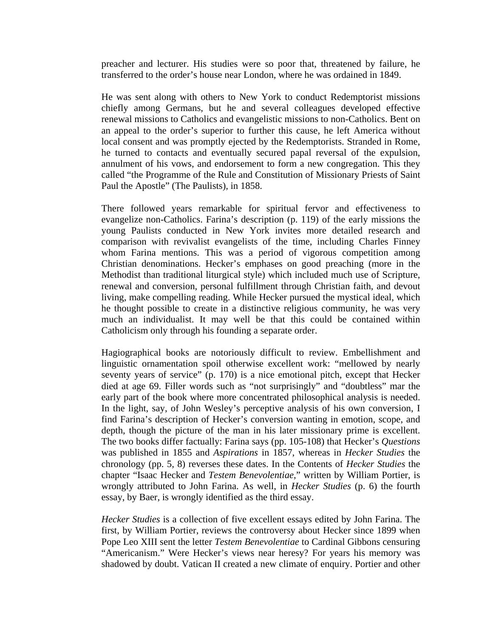preacher and lecturer. His studies were so poor that, threatened by failure, he transferred to the order's house near London, where he was ordained in 1849.

He was sent along with others to New York to conduct Redemptorist missions chiefly among Germans, but he and several colleagues developed effective renewal missions to Catholics and evangelistic missions to non-Catholics. Bent on an appeal to the order's superior to further this cause, he left America without local consent and was promptly ejected by the Redemptorists. Stranded in Rome, he turned to contacts and eventually secured papal reversal of the expulsion, annulment of his vows, and endorsement to form a new congregation. This they called "the Programme of the Rule and Constitution of Missionary Priests of Saint Paul the Apostle" (The Paulists), in 1858.

There followed years remarkable for spiritual fervor and effectiveness to evangelize non-Catholics. Farina's description (p. 119) of the early missions the young Paulists conducted in New York invites more detailed research and comparison with revivalist evangelists of the time, including Charles Finney whom Farina mentions. This was a period of vigorous competition among Christian denominations. Hecker's emphases on good preaching (more in the Methodist than traditional liturgical style) which included much use of Scripture, renewal and conversion, personal fulfillment through Christian faith, and devout living, make compelling reading. While Hecker pursued the mystical ideal, which he thought possible to create in a distinctive religious community, he was very much an individualist. It may well be that this could be contained within Catholicism only through his founding a separate order.

Hagiographical books are notoriously difficult to review. Embellishment and linguistic ornamentation spoil otherwise excellent work: "mellowed by nearly seventy years of service" (p. 170) is a nice emotional pitch, except that Hecker died at age 69. Filler words such as "not surprisingly" and "doubtless" mar the early part of the book where more concentrated philosophical analysis is needed. In the light, say, of John Wesley's perceptive analysis of his own conversion, I find Farina's description of Hecker's conversion wanting in emotion, scope, and depth, though the picture of the man in his later missionary prime is excellent. The two books differ factually: Farina says (pp. 105-108) that Hecker's *Questions* was published in 1855 and *Aspirations* in 1857, whereas in *Hecker Studies* the chronology (pp. 5, 8) reverses these dates. In the Contents of *Hecker Studies* the chapter "Isaac Hecker and *Testem Benevolentiae*," written by William Portier, is wrongly attributed to John Farina. As well, in *Hecker Studies* (p. 6) the fourth essay, by Baer, is wrongly identified as the third essay.

*Hecker Studies* is a collection of five excellent essays edited by John Farina. The first, by William Portier, reviews the controversy about Hecker since 1899 when Pope Leo XIII sent the letter *Testem Benevolentiae* to Cardinal Gibbons censuring "Americanism." Were Hecker's views near heresy? For years his memory was shadowed by doubt. Vatican II created a new climate of enquiry. Portier and other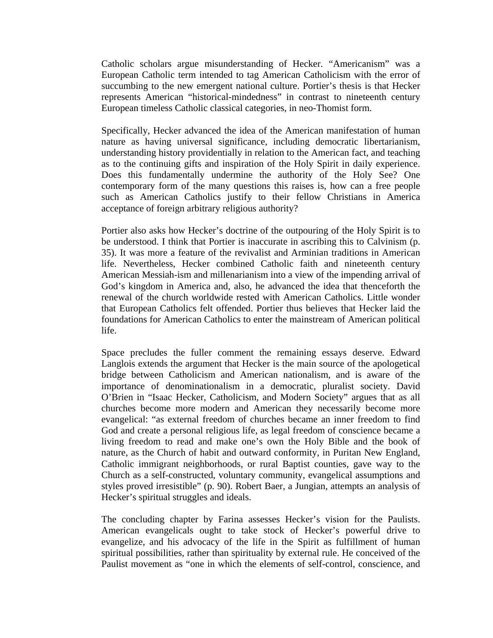Catholic scholars argue misunderstanding of Hecker. "Americanism" was a European Catholic term intended to tag American Catholicism with the error of succumbing to the new emergent national culture. Portier's thesis is that Hecker represents American "historical-mindedness" in contrast to nineteenth century European timeless Catholic classical categories, in neo-Thomist form.

Specifically, Hecker advanced the idea of the American manifestation of human nature as having universal significance, including democratic libertarianism, understanding history providentially in relation to the American fact, and teaching as to the continuing gifts and inspiration of the Holy Spirit in daily experience. Does this fundamentally undermine the authority of the Holy See? One contemporary form of the many questions this raises is, how can a free people such as American Catholics justify to their fellow Christians in America acceptance of foreign arbitrary religious authority?

Portier also asks how Hecker's doctrine of the outpouring of the Holy Spirit is to be understood. I think that Portier is inaccurate in ascribing this to Calvinism (p. 35). It was more a feature of the revivalist and Arminian traditions in American life. Nevertheless, Hecker combined Catholic faith and nineteenth century American Messiah-ism and millenarianism into a view of the impending arrival of God's kingdom in America and, also, he advanced the idea that thenceforth the renewal of the church worldwide rested with American Catholics. Little wonder that European Catholics felt offended. Portier thus believes that Hecker laid the foundations for American Catholics to enter the mainstream of American political life.

Space precludes the fuller comment the remaining essays deserve. Edward Langlois extends the argument that Hecker is the main source of the apologetical bridge between Catholicism and American nationalism, and is aware of the importance of denominationalism in a democratic, pluralist society. David O'Brien in "Isaac Hecker, Catholicism, and Modern Society" argues that as all churches become more modern and American they necessarily become more evangelical: "as external freedom of churches became an inner freedom to find God and create a personal religious life, as legal freedom of conscience became a living freedom to read and make one's own the Holy Bible and the book of nature, as the Church of habit and outward conformity, in Puritan New England, Catholic immigrant neighborhoods, or rural Baptist counties, gave way to the Church as a self-constructed, voluntary community, evangelical assumptions and styles proved irresistible" (p. 90). Robert Baer, a Jungian, attempts an analysis of Hecker's spiritual struggles and ideals.

The concluding chapter by Farina assesses Hecker's vision for the Paulists. American evangelicals ought to take stock of Hecker's powerful drive to evangelize, and his advocacy of the life in the Spirit as fulfillment of human spiritual possibilities, rather than spirituality by external rule. He conceived of the Paulist movement as "one in which the elements of self-control, conscience, and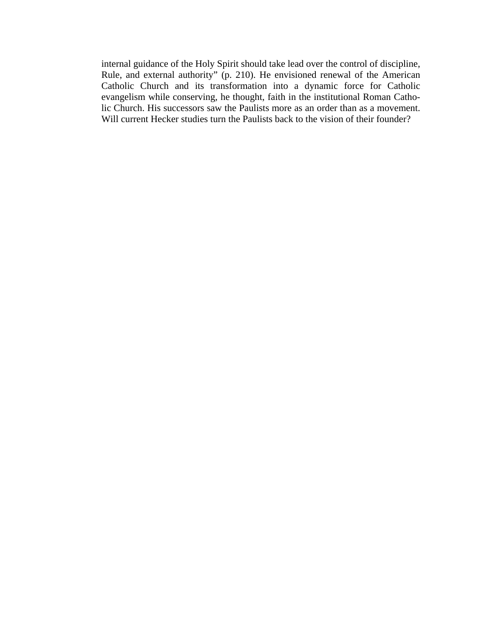internal guidance of the Holy Spirit should take lead over the control of discipline, Rule, and external authority" (p. 210). He envisioned renewal of the American Catholic Church and its transformation into a dynamic force for Catholic evangelism while conserving, he thought, faith in the institutional Roman Catholic Church. His successors saw the Paulists more as an order than as a movement. Will current Hecker studies turn the Paulists back to the vision of their founder?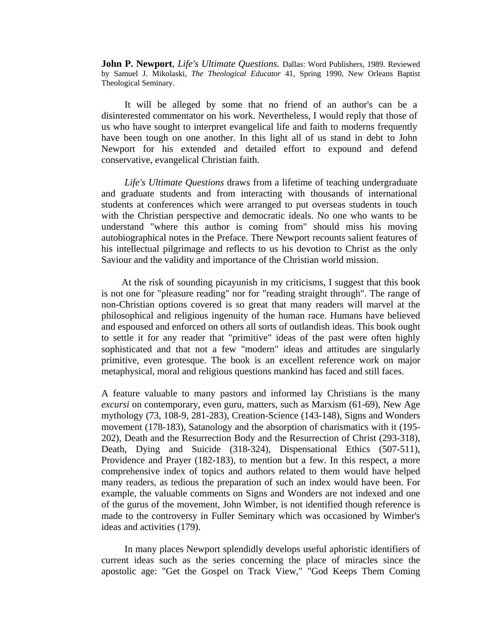**John P. Newport**, *Life's Ultimate Questions.* Dallas: Word Publishers, 1989. Reviewed by Samuel J. Mikolaski, *The Theological Educator* 41, Spring 1990, New Orleans Baptist Theological Seminary.

It will be alleged by some that no friend of an author's can be a disinterested commentator on his work. Nevertheless, I would reply that those of us who have sought to interpret evangelical life and faith to moderns frequently have been tough on one another. In this light all of us stand in debt to John Newport for his extended and detailed effort to expound and defend conservative, evangelical Christian faith.

*Life's Ultimate Questions* draws from a lifetime of teaching undergraduate and graduate students and from interacting with thousands of international students at conferences which were arranged to put overseas students in touch with the Christian perspective and democratic ideals. No one who wants to be understand "where this author is coming from" should miss his moving autobiographical notes in the Preface. There Newport recounts salient features of his intellectual pilgrimage and reflects to us his devotion to Christ as the only Saviour and the validity and importance of the Christian world mission.

At the risk of sounding picayunish in my criticisms, I suggest that this book is not one for "pleasure reading" nor for "reading straight through". The range of non-Christian options covered is so great that many readers will marvel at the philosophical and religious ingenuity of the human race. Humans have believed and espoused and enforced on others all sorts of outlandish ideas. This book ought to settle it for any reader that "primitive" ideas of the past were often highly sophisticated and that not a few "modern" ideas and attitudes are singularly primitive, even grotesque. The book is an excellent reference work on major metaphysical, moral and religious questions mankind has faced and still faces.

A feature valuable to many pastors and informed lay Christians is the many *excursi* on contemporary, even guru, matters, such as Marxism (61-69), New Age mythology (73, 108-9, 281-283), Creation-Science (143-148), Signs and Wonders movement (178-183), Satanology and the absorption of charismatics with it (195- 202), Death and the Resurrection Body and the Resurrection of Christ (293-318), Death, Dying and Suicide (318-324), Dispensational Ethics (507-511), Providence and Prayer (182-183), to mention but a few. In this respect, a more comprehensive index of topics and authors related to them would have helped many readers, as tedious the preparation of such an index would have been. For example, the valuable comments on Signs and Wonders are not indexed and one of the gurus of the movement, John Wimber, is not identified though reference is made to the controversy in Fuller Seminary which was occasioned by Wimber's ideas and activities (179).

In many places Newport splendidly develops useful aphoristic identifiers of current ideas such as the series concerning the place of miracles since the apostolic age: "Get the Gospel on Track View," "God Keeps Them Coming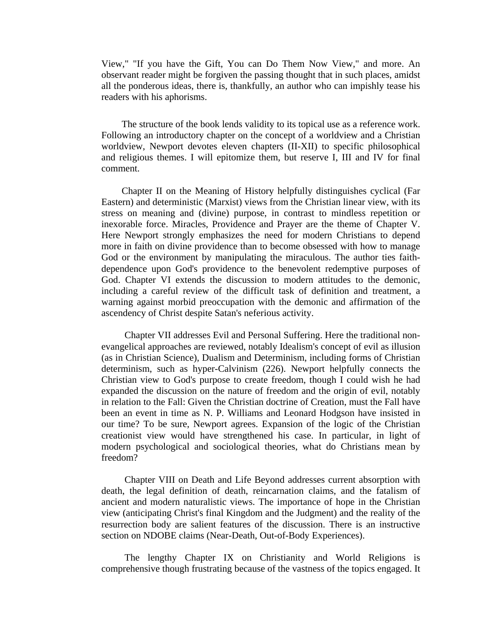View," "If you have the Gift, You can Do Them Now View," and more. An observant reader might be forgiven the passing thought that in such places, amidst all the ponderous ideas, there is, thankfully, an author who can impishly tease his readers with his aphorisms.

The structure of the book lends validity to its topical use as a reference work. Following an introductory chapter on the concept of a worldview and a Christian worldview, Newport devotes eleven chapters (II-XII) to specific philosophical and religious themes. I will epitomize them, but reserve I, III and IV for final comment.

Chapter II on the Meaning of History helpfully distinguishes cyclical (Far Eastern) and deterministic (Marxist) views from the Christian linear view, with its stress on meaning and (divine) purpose, in contrast to mindless repetition or inexorable force. Miracles, Providence and Prayer are the theme of Chapter V. Here Newport strongly emphasizes the need for modern Christians to depend more in faith on divine providence than to become obsessed with how to manage God or the environment by manipulating the miraculous. The author ties faithdependence upon God's providence to the benevolent redemptive purposes of God. Chapter VI extends the discussion to modern attitudes to the demonic, including a careful review of the difficult task of definition and treatment, a warning against morbid preoccupation with the demonic and affirmation of the ascendency of Christ despite Satan's neferious activity.

Chapter VII addresses Evil and Personal Suffering. Here the traditional nonevangelical approaches are reviewed, notably Idealism's concept of evil as illusion (as in Christian Science), Dualism and Determinism, including forms of Christian determinism, such as hyper-Calvinism (226). Newport helpfully connects the Christian view to God's purpose to create freedom, though I could wish he had expanded the discussion on the nature of freedom and the origin of evil, notably in relation to the Fall: Given the Christian doctrine of Creation, must the Fall have been an event in time as N. P. Williams and Leonard Hodgson have insisted in our time? To be sure, Newport agrees. Expansion of the logic of the Christian creationist view would have strengthened his case. In particular, in light of modern psychological and sociological theories, what do Christians mean by freedom?

Chapter VIII on Death and Life Beyond addresses current absorption with death, the legal definition of death, reincarnation claims, and the fatalism of ancient and modern naturalistic views. The importance of hope in the Christian view (anticipating Christ's final Kingdom and the Judgment) and the reality of the resurrection body are salient features of the discussion. There is an instructive section on NDOBE claims (Near-Death, Out-of-Body Experiences).

The lengthy Chapter IX on Christianity and World Religions is comprehensive though frustrating because of the vastness of the topics engaged. It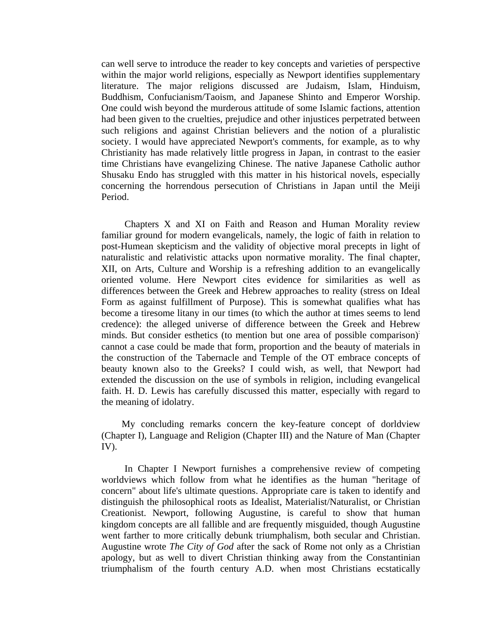can well serve to introduce the reader to key concepts and varieties of perspective within the major world religions, especially as Newport identifies supplementary literature. The major religions discussed are Judaism, Islam, Hinduism, Buddhism, Confucianism/Taoism, and Japanese Shinto and Emperor Worship. One could wish beyond the murderous attitude of some Islamic factions, attention had been given to the cruelties, prejudice and other injustices perpetrated between such religions and against Christian believers and the notion of a pluralistic society. I would have appreciated Newport's comments, for example, as to why Christianity has made relatively little progress in Japan, in contrast to the easier time Christians have evangelizing Chinese. The native Japanese Catholic author Shusaku Endo has struggled with this matter in his historical novels, especially concerning the horrendous persecution of Christians in Japan until the Meiji Period.

Chapters X and XI on Faith and Reason and Human Morality review familiar ground for modern evangelicals, namely, the logic of faith in relation to post-Humean skepticism and the validity of objective moral precepts in light of naturalistic and relativistic attacks upon normative morality. The final chapter, XII, on Arts, Culture and Worship is a refreshing addition to an evangelically oriented volume. Here Newport cites evidence for similarities as well as differences between the Greek and Hebrew approaches to reality (stress on Ideal Form as against fulfillment of Purpose). This is somewhat qualifies what has become a tiresome litany in our times (to which the author at times seems to lend credence): the alleged universe of difference between the Greek and Hebrew minds. But consider esthetics (to mention but one area of possible comparison): cannot a case could be made that form, proportion and the beauty of materials in the construction of the Tabernacle and Temple of the OT embrace concepts of beauty known also to the Greeks? I could wish, as well, that Newport had extended the discussion on the use of symbols in religion, including evangelical faith. H. D. Lewis has carefully discussed this matter, especially with regard to the meaning of idolatry.

My concluding remarks concern the key-feature concept of dorldview (Chapter I), Language and Religion (Chapter III) and the Nature of Man (Chapter IV).

In Chapter I Newport furnishes a comprehensive review of competing worldviews which follow from what he identifies as the human "heritage of concern" about life's ultimate questions. Appropriate care is taken to identify and distinguish the philosophical roots as Idealist, Materialist/Naturalist, or Christian Creationist. Newport, following Augustine, is careful to show that human kingdom concepts are all fallible and are frequently misguided, though Augustine went farther to more critically debunk triumphalism, both secular and Christian. Augustine wrote *The City of God* after the sack of Rome not only as a Christian apology, but as well to divert Christian thinking away from the Constantinian triumphalism of the fourth century A.D. when most Christians ecstatically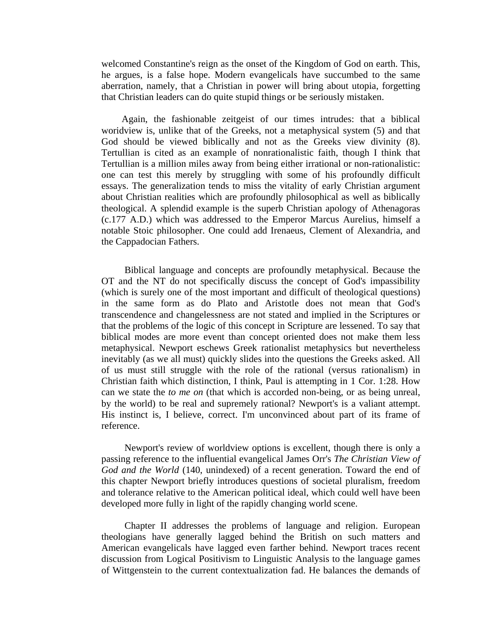welcomed Constantine's reign as the onset of the Kingdom of God on earth. This, he argues, is a false hope. Modern evangelicals have succumbed to the same aberration, namely, that a Christian in power will bring about utopia, forgetting that Christian leaders can do quite stupid things or be seriously mistaken.

Again, the fashionable zeitgeist of our times intrudes: that a biblical woridview is, unlike that of the Greeks, not a metaphysical system (5) and that God should be viewed biblically and not as the Greeks view divinity (8). Tertullian is cited as an example of nonrationalistic faith, though I think that Tertullian is a million miles away from being either irrational or non-rationalistic: one can test this merely by struggling with some of his profoundly difficult essays. The generalization tends to miss the vitality of early Christian argument about Christian realities which are profoundly philosophical as well as biblically theological. A splendid example is the superb Christian apology of Athenagoras (c.177 A.D.) which was addressed to the Emperor Marcus Aurelius, himself a notable Stoic philosopher. One could add Irenaeus, Clement of Alexandria, and the Cappadocian Fathers.

Biblical language and concepts are profoundly metaphysical. Because the OT and the NT do not specifically discuss the concept of God's impassibility (which is surely one of the most important and difficult of theological questions) in the same form as do Plato and Aristotle does not mean that God's transcendence and changelessness are not stated and implied in the Scriptures or that the problems of the logic of this concept in Scripture are lessened. To say that biblical modes are more event than concept oriented does not make them less metaphysical. Newport eschews Greek rationalist metaphysics but nevertheless inevitably (as we all must) quickly slides into the questions the Greeks asked. All of us must still struggle with the role of the rational (versus rationalism) in Christian faith which distinction, I think, Paul is attempting in 1 Cor. 1:28. How can we state the *to me on* (that which is accorded non-being, or as being unreal, by the world) to be real and supremely rational? Newport's is a valiant attempt. His instinct is, I believe, correct. I'm unconvinced about part of its frame of reference.

Newport's review of worldview options is excellent, though there is only a passing reference to the influential evangelical James Orr's *The Christian View of God and the World* (140, unindexed) of a recent generation. Toward the end of this chapter Newport briefly introduces questions of societal pluralism, freedom and tolerance relative to the American political ideal, which could well have been developed more fully in light of the rapidly changing world scene.

Chapter II addresses the problems of language and religion. European theologians have generally lagged behind the British on such matters and American evangelicals have lagged even farther behind. Newport traces recent discussion from Logical Positivism to Linguistic Analysis to the language games of Wittgenstein to the current contextualization fad. He balances the demands of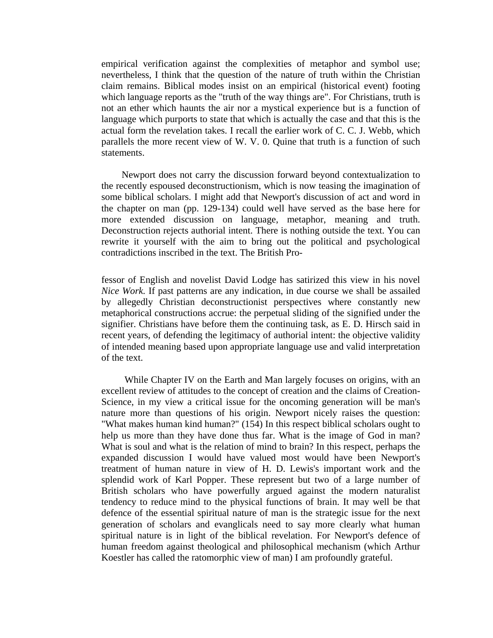empirical verification against the complexities of metaphor and symbol use; nevertheless, I think that the question of the nature of truth within the Christian claim remains. Biblical modes insist on an empirical (historical event) footing which language reports as the "truth of the way things are". For Christians, truth is not an ether which haunts the air nor a mystical experience but is a function of language which purports to state that which is actually the case and that this is the actual form the revelation takes. I recall the earlier work of C. C. J. Webb, which parallels the more recent view of W. V. 0. Quine that truth is a function of such statements.

Newport does not carry the discussion forward beyond contextualization to the recently espoused deconstructionism, which is now teasing the imagination of some biblical scholars. I might add that Newport's discussion of act and word in the chapter on man (pp. 129-134) could well have served as the base here for more extended discussion on language, metaphor, meaning and truth. Deconstruction rejects authorial intent. There is nothing outside the text. You can rewrite it yourself with the aim to bring out the political and psychological contradictions inscribed in the text. The British Pro-

fessor of English and novelist David Lodge has satirized this view in his novel *Nice Work.* If past patterns are any indication, in due course we shall be assailed by allegedly Christian deconstructionist perspectives where constantly new metaphorical constructions accrue: the perpetual sliding of the signified under the signifier. Christians have before them the continuing task, as E. D. Hirsch said in recent years, of defending the legitimacy of authorial intent: the objective validity of intended meaning based upon appropriate language use and valid interpretation of the text.

While Chapter IV on the Earth and Man largely focuses on origins, with an excellent review of attitudes to the concept of creation and the claims of Creation-Science, in my view a critical issue for the oncoming generation will be man's nature more than questions of his origin. Newport nicely raises the question: "What makes human kind human?" (154) In this respect biblical scholars ought to help us more than they have done thus far. What is the image of God in man? What is soul and what is the relation of mind to brain? In this respect, perhaps the expanded discussion I would have valued most would have been Newport's treatment of human nature in view of H. D. Lewis's important work and the splendid work of Karl Popper. These represent but two of a large number of British scholars who have powerfully argued against the modern naturalist tendency to reduce mind to the physical functions of brain. It may well be that defence of the essential spiritual nature of man is the strategic issue for the next generation of scholars and evanglicals need to say more clearly what human spiritual nature is in light of the biblical revelation. For Newport's defence of human freedom against theological and philosophical mechanism (which Arthur Koestler has called the ratomorphic view of man) I am profoundly grateful.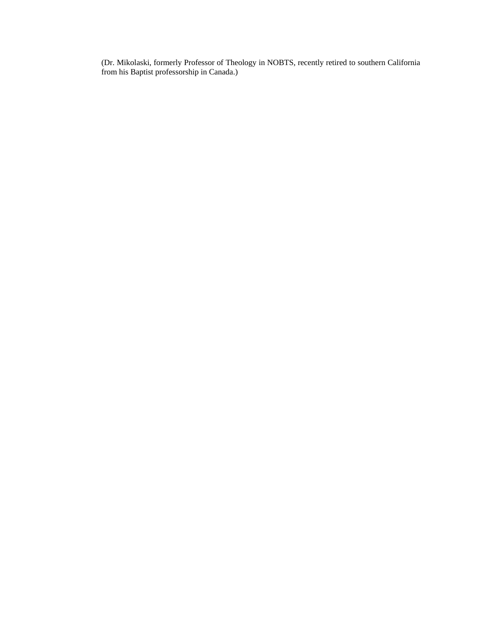(Dr. Mikolaski, formerly Professor of Theology in NOBTS, recently retired to southern California from his Baptist professorship in Canada.)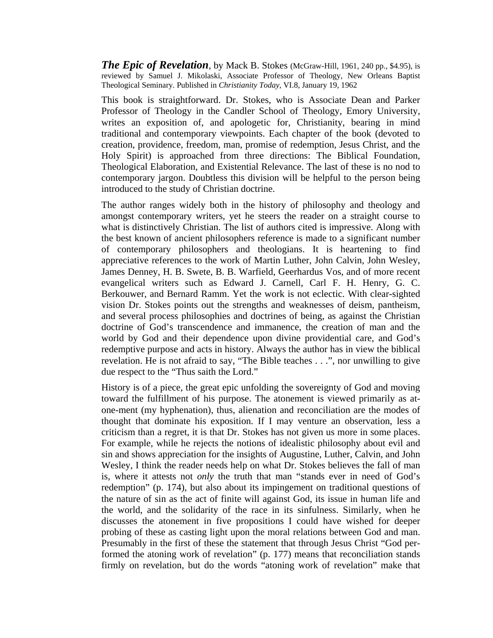*The Epic of Revelation,* by Mack B. Stokes (McGraw-Hill, 1961, 240 pp., \$4.95), is reviewed by Samuel J. Mikolaski, Associate Professor of Theology, New Orleans Baptist Theological Seminary. Published in *Christianity Today,* VI.8, January 19, 1962

This book is straightforward. Dr. Stokes, who is Associate Dean and Parker Professor of Theology in the Candler School of Theology, Emory University, writes an exposition of, and apologetic for, Christianity, bearing in mind traditional and contemporary viewpoints. Each chapter of the book (devoted to creation, providence, freedom, man, promise of redemption, Jesus Christ, and the Holy Spirit) is approached from three directions: The Biblical Foundation, Theological Elaboration, and Existential Relevance. The last of these is no nod to contemporary jargon. Doubtless this division will be helpful to the person being introduced to the study of Christian doctrine.

The author ranges widely both in the history of philosophy and theology and amongst contemporary writers, yet he steers the reader on a straight course to what is distinctively Christian. The list of authors cited is impressive. Along with the best known of ancient philosophers reference is made to a significant number of contemporary philosophers and theologians. It is heartening to find appreciative references to the work of Martin Luther, John Calvin, John Wesley, James Denney, H. B. Swete, B. B. Warfield, Geerhardus Vos, and of more recent evangelical writers such as Edward J. Carnell, Carl F. H. Henry, G. C. Berkouwer, and Bernard Ramm. Yet the work is not eclectic. With clear-sighted vision Dr. Stokes points out the strengths and weaknesses of deism, pantheism, and several process philosophies and doctrines of being, as against the Christian doctrine of God's transcendence and immanence, the creation of man and the world by God and their dependence upon divine providential care, and God's redemptive purpose and acts in history. Always the author has in view the biblical revelation. He is not afraid to say, "The Bible teaches . . .", nor unwilling to give due respect to the "Thus saith the Lord."

History is of a piece, the great epic unfolding the sovereignty of God and moving toward the fulfillment of his purpose. The atonement is viewed primarily as atone-ment (my hyphenation), thus, alienation and reconciliation are the modes of thought that dominate his exposition. If I may venture an observation, less a criticism than a regret, it is that Dr. Stokes has not given us more in some places. For example, while he rejects the notions of idealistic philosophy about evil and sin and shows appreciation for the insights of Augustine, Luther, Calvin, and John Wesley, I think the reader needs help on what Dr. Stokes believes the fall of man is, where it attests not *only* the truth that man "stands ever in need of God's redemption" (p. 174), but also about its impingement on traditional questions of the nature of sin as the act of finite will against God, its issue in human life and the world, and the solidarity of the race in its sinfulness. Similarly, when he discusses the atonement in five propositions I could have wished for deeper probing of these as casting light upon the moral relations between God and man. Presumably in the first of these the statement that through Jesus Christ "God performed the atoning work of revelation" (p. 177) means that reconciliation stands firmly on revelation, but do the words "atoning work of revelation" make that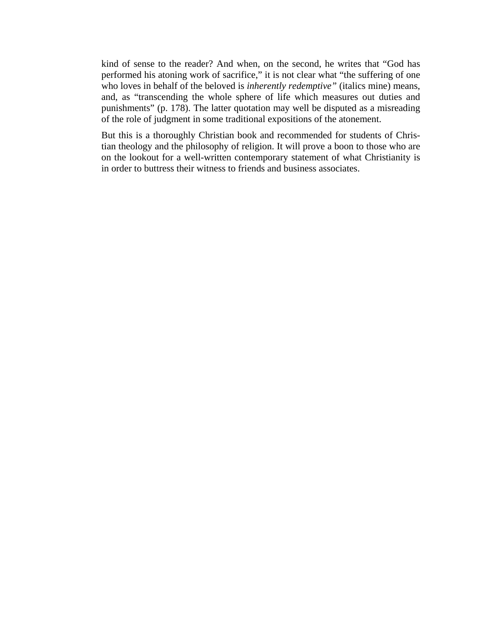kind of sense to the reader? And when, on the second, he writes that "God has performed his atoning work of sacrifice," it is not clear what "the suffering of one who loves in behalf of the beloved is *inherently redemptive"* (italics mine) means, and, as "transcending the whole sphere of life which measures out duties and punishments" (p. 178). The latter quotation may well be disputed as a misreading of the role of judgment in some traditional expositions of the atonement.

But this is a thoroughly Christian book and recommended for students of Christian theology and the philosophy of religion. It will prove a boon to those who are on the lookout for a well-written contemporary statement of what Christianity is in order to buttress their witness to friends and business associates.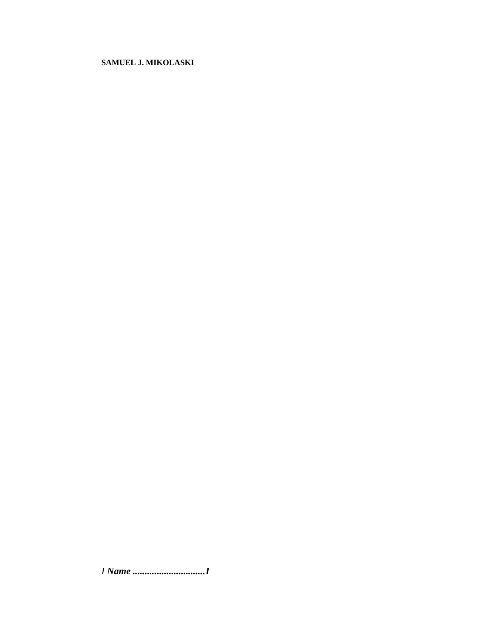# **SAMUEL J. MIKOLASKI**

*I Name ..............................I*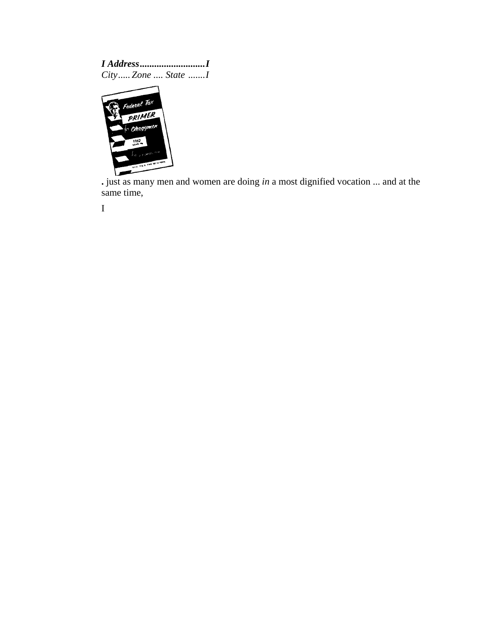*I Address...........................I City..... Zone .... State .......I* 



 **.** just as many men and women are doing *in* a most dignified vocation ... and at the same time,

I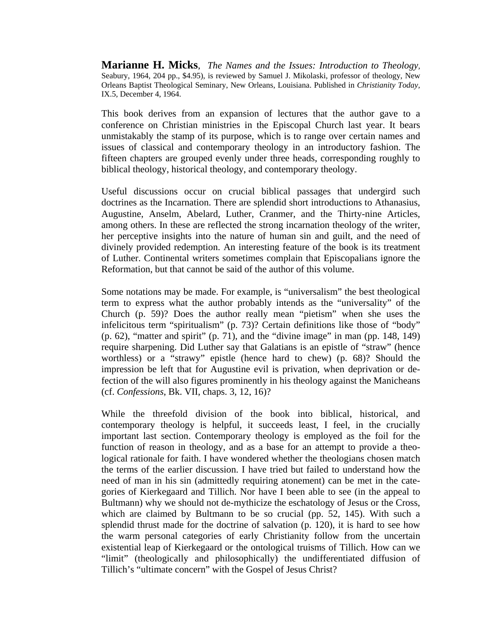**Marianne H. Micks**, *The Names and the Issues: Introduction to Theology,* Seabury, 1964, 204 pp., \$4.95), is reviewed by Samuel J. Mikolaski, professor of theology, New Orleans Baptist Theological Seminary, New Orleans, Louisiana. Published in *Christianity Today,*  IX.5*,* December 4, 1964.

This book derives from an expansion of lectures that the author gave to a conference on Christian ministries in the Episcopal Church last year. It bears unmistakably the stamp of its purpose, which is to range over certain names and issues of classical and contemporary theology in an introductory fashion. The fifteen chapters are grouped evenly under three heads, corresponding roughly to biblical theology, historical theology, and contemporary theology.

Useful discussions occur on crucial biblical passages that undergird such doctrines as the Incarnation. There are splendid short introductions to Athanasius, Augustine, Anselm, Abelard, Luther, Cranmer, and the Thirty-nine Articles, among others. In these are reflected the strong incarnation theology of the writer, her perceptive insights into the nature of human sin and guilt, and the need of divinely provided redemption. An interesting feature of the book is its treatment of Luther. Continental writers sometimes complain that Episcopalians ignore the Reformation, but that cannot be said of the author of this volume.

Some notations may be made. For example, is "universalism" the best theological term to express what the author probably intends as the "universality" of the Church (p. 59)? Does the author really mean "pietism" when she uses the infelicitous term "spiritualism" (p. 73)? Certain definitions like those of "body" (p. 62), "matter and spirit" (p. 71), and the "divine image" in man (pp. 148, 149) require sharpening. Did Luther say that Galatians is an epistle of "straw" (hence worthless) or a "strawy" epistle (hence hard to chew) (p. 68)? Should the impression be left that for Augustine evil is privation, when deprivation or defection of the will also figures prominently in his theology against the Manicheans (cf. *Confessions*, Bk. VII, chaps. 3, 12, 16)?

While the threefold division of the book into biblical, historical, and contemporary theology is helpful, it succeeds least, I feel, in the crucially important last section. Contemporary theology is employed as the foil for the function of reason in theology, and as a base for an attempt to provide a theological rationale for faith. I have wondered whether the theologians chosen match the terms of the earlier discussion. I have tried but failed to understand how the need of man in his sin (admittedly requiring atonement) can be met in the categories of Kierkegaard and Tillich. Nor have I been able to see (in the appeal to Bultmann) why we should not de-mythicize the eschatology of Jesus or the Cross, which are claimed by Bultmann to be so crucial (pp. 52, 145). With such a splendid thrust made for the doctrine of salvation (p. 120), it is hard to see how the warm personal categories of early Christianity follow from the uncertain existential leap of Kierkegaard or the ontological truisms of Tillich. How can we "limit" (theologically and philosophically) the undifferentiated diffusion of Tillich's "ultimate concern" with the Gospel of Jesus Christ?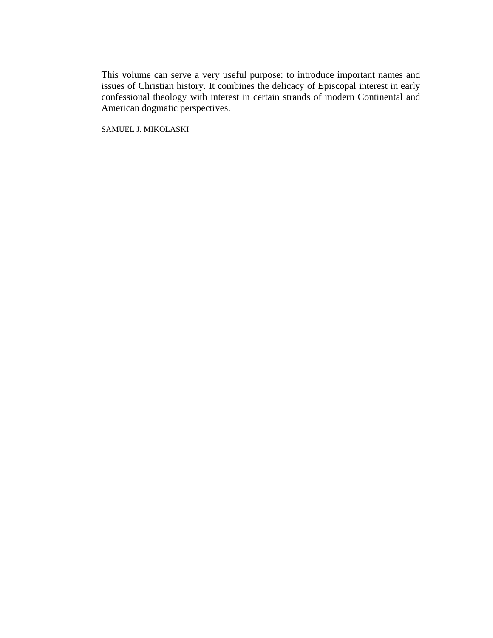This volume can serve a very useful purpose: to introduce important names and issues of Christian history. It combines the delicacy of Episcopal interest in early confessional theology with interest in certain strands of modern Continental and American dogmatic perspectives.

SAMUEL J. MIKOLASKI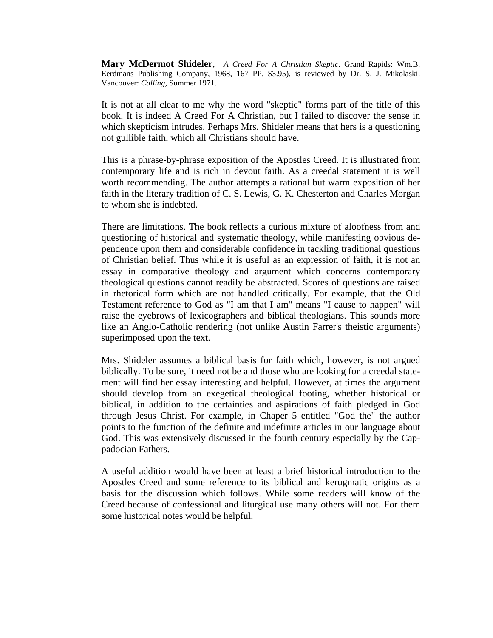**Mary McDermot Shideler**, *A Creed For A Christian Skeptic*. Grand Rapids: Wm.B. Eerdmans Publishing Company, 1968, 167 PP. \$3.95), is reviewed by Dr. S. J. Mikolaski. Vancouver: *Calling,* Summer 1971.

It is not at all clear to me why the word "skeptic" forms part of the title of this book. It is indeed A Creed For A Christian, but I failed to discover the sense in which skepticism intrudes. Perhaps Mrs. Shideler means that hers is a questioning not gullible faith, which all Christians should have.

This is a phrase-by-phrase exposition of the Apostles Creed. It is illustrated from contemporary life and is rich in devout faith. As a creedal statement it is well worth recommending. The author attempts a rational but warm exposition of her faith in the literary tradition of C. S. Lewis, G. K. Chesterton and Charles Morgan to whom she is indebted.

There are limitations. The book reflects a curious mixture of aloofness from and questioning of historical and systematic theology, while manifesting obvious dependence upon them and considerable confidence in tackling traditional questions of Christian belief. Thus while it is useful as an expression of faith, it is not an essay in comparative theology and argument which concerns contemporary theological questions cannot readily be abstracted. Scores of questions are raised in rhetorical form which are not handled critically. For example, that the Old Testament reference to God as "I am that I am" means "I cause to happen" will raise the eyebrows of lexicographers and biblical theologians. This sounds more like an Anglo-Catholic rendering (not unlike Austin Farrer's theistic arguments) superimposed upon the text.

Mrs. Shideler assumes a biblical basis for faith which, however, is not argued biblically. To be sure, it need not be and those who are looking for a creedal statement will find her essay interesting and helpful. However, at times the argument should develop from an exegetical theological footing, whether historical or biblical, in addition to the certainties and aspirations of faith pledged in God through Jesus Christ. For example, in Chaper 5 entitled "God the" the author points to the function of the definite and indefinite articles in our language about God. This was extensively discussed in the fourth century especially by the Cappadocian Fathers.

A useful addition would have been at least a brief historical introduction to the Apostles Creed and some reference to its biblical and kerugmatic origins as a basis for the discussion which follows. While some readers will know of the Creed because of confessional and liturgical use many others will not. For them some historical notes would be helpful.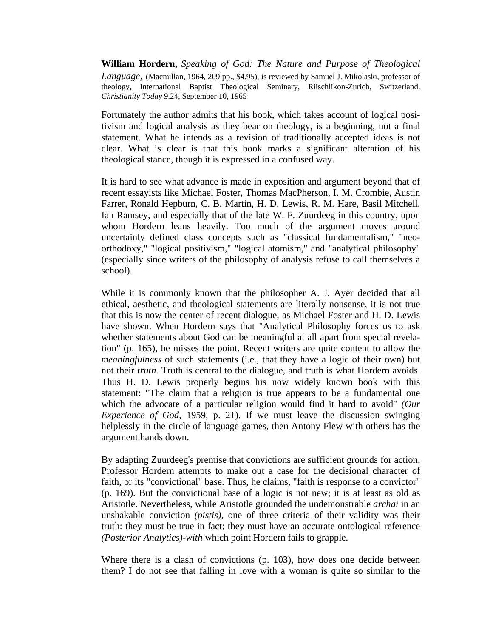**William Hordern,** *Speaking of God: The Nature and Purpose of Theological Language*, (Macmillan, 1964, 209 pp., \$4.95), is reviewed by Samuel J. Mikolaski, professor of theology, International Baptist Theological Seminary, Riischlikon-Zurich, Switzerland. *Christianity Today* 9.24, September 10, 1965

Fortunately the author admits that his book, which takes account of logical positivism and logical analysis as they bear on theology, is a beginning, not a final statement. What he intends as a revision of traditionally accepted ideas is not clear. What is clear is that this book marks a significant alteration of his theological stance, though it is expressed in a confused way.

It is hard to see what advance is made in exposition and argument beyond that of recent essayists like Michael Foster, Thomas MacPherson, I. M. Crombie, Austin Farrer, Ronald Hepburn, C. B. Martin, H. D. Lewis, R. M. Hare, Basil Mitchell, Ian Ramsey, and especially that of the late W. F. Zuurdeeg in this country, upon whom Hordern leans heavily. Too much of the argument moves around uncertainly defined class concepts such as "classical fundamentalism," "neoorthodoxy," "logical positivism," "logical atomism," and "analytical philosophy" (especially since writers of the philosophy of analysis refuse to call themselves a school).

While it is commonly known that the philosopher A. J. Ayer decided that all ethical, aesthetic, and theological statements are literally nonsense, it is not true that this is now the center of recent dialogue, as Michael Foster and H. D. Lewis have shown. When Hordern says that "Analytical Philosophy forces us to ask whether statements about God can be meaningful at all apart from special revelation" (p. 165), he misses the point. Recent writers are quite content to allow the *meaningfulness* of such statements (i.e., that they have a logic of their own) but not their *truth.* Truth is central to the dialogue, and truth is what Hordern avoids. Thus H. D. Lewis properly begins his now widely known book with this statement: "The claim that a religion is true appears to be a fundamental one which the advocate of a particular religion would find it hard to avoid" *(Our Experience of God,* 1959, p. 21). If we must leave the discussion swinging helplessly in the circle of language games, then Antony Flew with others has the argument hands down.

By adapting Zuurdeeg's premise that convictions are sufficient grounds for action, Professor Hordern attempts to make out a case for the decisional character of faith, or its "convictional" base. Thus, he claims, "faith is response to a convictor" (p. 169). But the convictional base of a logic is not new; it is at least as old as Aristotle. Nevertheless, while Aristotle grounded the undemonstrable *archai* in an unshakable conviction *(pistis),* one of three criteria of their validity was their truth: they must be true in fact; they must have an accurate ontological reference *(Posterior Analytics)-with* which point Hordern fails to grapple.

Where there is a clash of convictions (p. 103), how does one decide between them? I do not see that falling in love with a woman is quite so similar to the